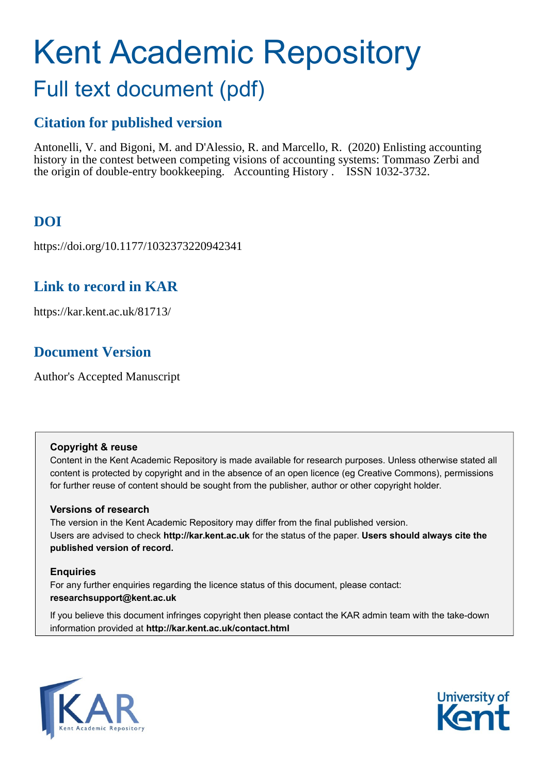# Kent Academic Repository Full text document (pdf)

## **Citation for published version**

Antonelli, V. and Bigoni, M. and D'Alessio, R. and Marcello, R. (2020) Enlisting accounting history in the contest between competing visions of accounting systems: Tommaso Zerbi and the origin of double-entry bookkeeping. Accounting History . ISSN 1032-3732.

## **DOI**

https://doi.org/10.1177/1032373220942341

## **Link to record in KAR**

https://kar.kent.ac.uk/81713/

## **Document Version**

Author's Accepted Manuscript

#### **Copyright & reuse**

Content in the Kent Academic Repository is made available for research purposes. Unless otherwise stated all content is protected by copyright and in the absence of an open licence (eg Creative Commons), permissions for further reuse of content should be sought from the publisher, author or other copyright holder.

#### **Versions of research**

The version in the Kent Academic Repository may differ from the final published version. Users are advised to check **http://kar.kent.ac.uk** for the status of the paper. **Users should always cite the published version of record.**

#### **Enquiries**

For any further enquiries regarding the licence status of this document, please contact: **researchsupport@kent.ac.uk**

If you believe this document infringes copyright then please contact the KAR admin team with the take-down information provided at **http://kar.kent.ac.uk/contact.html**



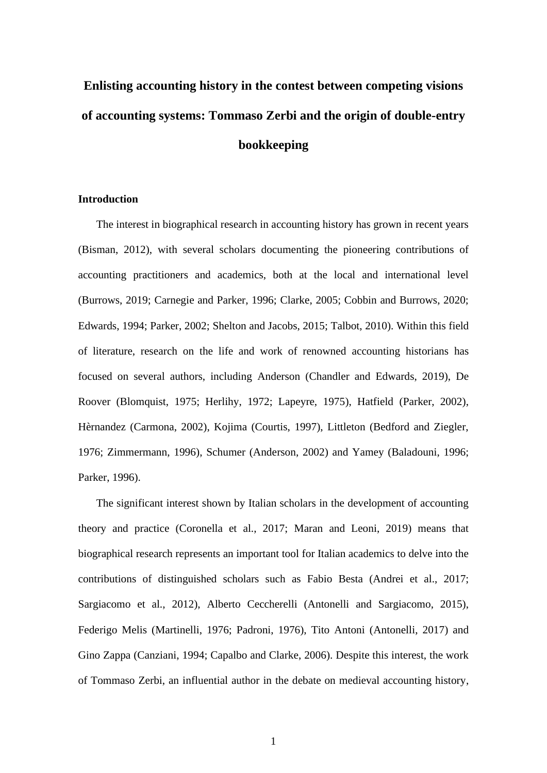## **Enlisting accounting history in the contest between competing visions of accounting systems: Tommaso Zerbi and the origin of double-entry bookkeeping**

#### **Introduction**

The interest in biographical research in accounting history has grown in recent years (Bisman, 2012), with several scholars documenting the pioneering contributions of accounting practitioners and academics, both at the local and international level (Burrows, 2019; Carnegie and Parker, 1996; Clarke, 2005; Cobbin and Burrows, 2020; Edwards, 1994; Parker, 2002; Shelton and Jacobs, 2015; Talbot, 2010). Within this field of literature, research on the life and work of renowned accounting historians has focused on several authors, including Anderson (Chandler and Edwards, 2019), De Roover (Blomquist, 1975; Herlihy, 1972; Lapeyre, 1975), Hatfield (Parker, 2002), Hèrnandez (Carmona, 2002), Kojima (Courtis, 1997), Littleton (Bedford and Ziegler, 1976; Zimmermann, 1996), Schumer (Anderson, 2002) and Yamey (Baladouni, 1996; Parker, 1996).

The significant interest shown by Italian scholars in the development of accounting theory and practice (Coronella et al., 2017; Maran and Leoni, 2019) means that biographical research represents an important tool for Italian academics to delve into the contributions of distinguished scholars such as Fabio Besta (Andrei et al., 2017; Sargiacomo et al., 2012), Alberto Ceccherelli (Antonelli and Sargiacomo, 2015), Federigo Melis (Martinelli, 1976; Padroni, 1976), Tito Antoni (Antonelli, 2017) and Gino Zappa (Canziani, 1994; Capalbo and Clarke, 2006). Despite this interest, the work of Tommaso Zerbi, an influential author in the debate on medieval accounting history,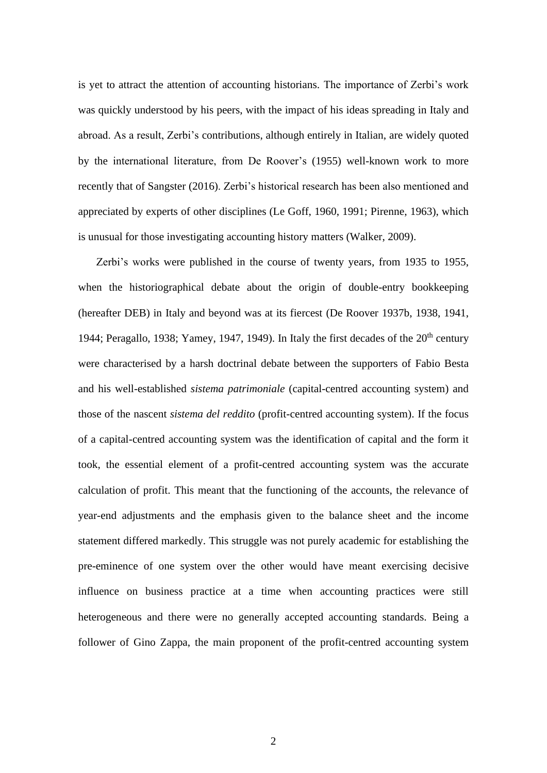is yet to attract the attention of accounting historians. The importance of Zerbi's work was quickly understood by his peers, with the impact of his ideas spreading in Italy and abroad. As a result, Zerbi's contributions, although entirely in Italian, are widely quoted by the international literature, from De Roover's (1955) well-known work to more recently that of Sangster (2016). Zerbi's historical research has been also mentioned and appreciated by experts of other disciplines (Le Goff, 1960, 1991; Pirenne, 1963), which is unusual for those investigating accounting history matters (Walker, 2009).

Zerbi's works were published in the course of twenty years, from 1935 to 1955, when the historiographical debate about the origin of double-entry bookkeeping (hereafter DEB) in Italy and beyond was at its fiercest (De Roover 1937b, 1938, 1941, 1944; Peragallo, 1938; Yamey, 1947, 1949). In Italy the first decades of the  $20<sup>th</sup>$  century were characterised by a harsh doctrinal debate between the supporters of Fabio Besta and his well-established *sistema patrimoniale* (capital-centred accounting system) and those of the nascent *sistema del reddito* (profit-centred accounting system). If the focus of a capital-centred accounting system was the identification of capital and the form it took, the essential element of a profit-centred accounting system was the accurate calculation of profit. This meant that the functioning of the accounts, the relevance of year-end adjustments and the emphasis given to the balance sheet and the income statement differed markedly. This struggle was not purely academic for establishing the pre-eminence of one system over the other would have meant exercising decisive influence on business practice at a time when accounting practices were still heterogeneous and there were no generally accepted accounting standards. Being a follower of Gino Zappa, the main proponent of the profit-centred accounting system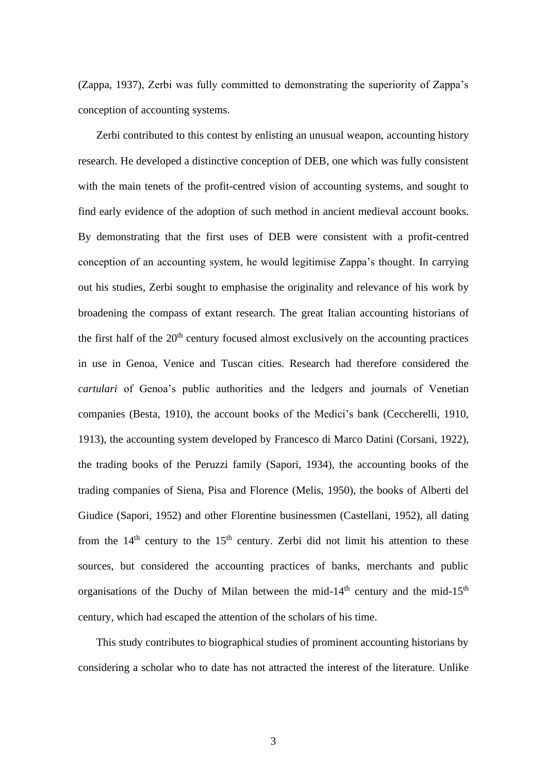(Zappa, 1937), Zerbi was fully committed to demonstrating the superiority of Zappa's conception of accounting systems.

Zerbi contributed to this contest by enlisting an unusual weapon, accounting history research. He developed a distinctive conception of DEB, one which was fully consistent with the main tenets of the profit-centred vision of accounting systems, and sought to find early evidence of the adoption of such method in ancient medieval account books. By demonstrating that the first uses of DEB were consistent with a profit-centred conception of an accounting system, he would legitimise Zappa's thought. In carrying out his studies, Zerbi sought to emphasise the originality and relevance of his work by broadening the compass of extant research. The great Italian accounting historians of the first half of the  $20<sup>th</sup>$  century focused almost exclusively on the accounting practices in use in Genoa, Venice and Tuscan cities. Research had therefore considered the *cartulari* of Genoa's public authorities and the ledgers and journals of Venetian companies (Besta, 1910), the account books of the Medici's bank (Ceccherelli, 1910, 1913), the accounting system developed by Francesco di Marco Datini (Corsani, 1922), the trading books of the Peruzzi family (Sapori, 1934), the accounting books of the trading companies of Siena, Pisa and Florence (Melis, 1950), the books of Alberti del Giudice (Sapori, 1952) and other Florentine businessmen (Castellani, 1952), all dating from the  $14<sup>th</sup>$  century to the  $15<sup>th</sup>$  century. Zerbi did not limit his attention to these sources, but considered the accounting practices of banks, merchants and public organisations of the Duchy of Milan between the mid-14<sup>th</sup> century and the mid-15<sup>th</sup> century, which had escaped the attention of the scholars of his time.

This study contributes to biographical studies of prominent accounting historians by considering a scholar who to date has not attracted the interest of the literature. Unlike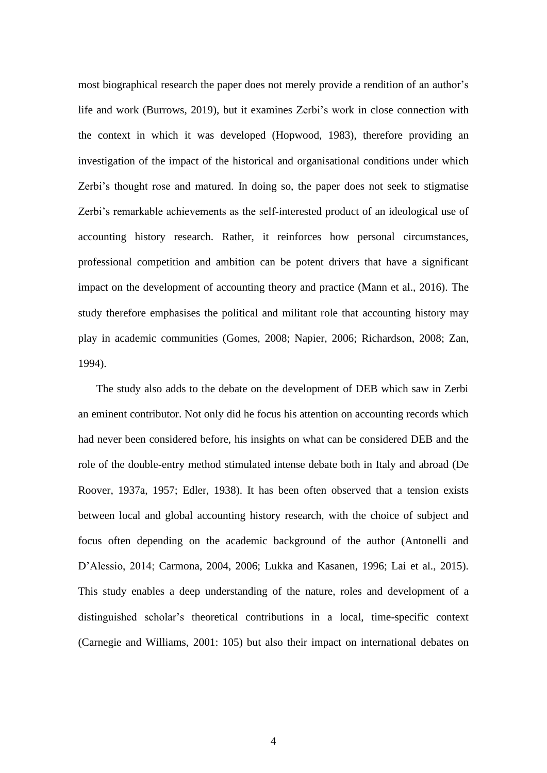most biographical research the paper does not merely provide a rendition of an author's life and work (Burrows, 2019), but it examines Zerbi's work in close connection with the context in which it was developed (Hopwood, 1983), therefore providing an investigation of the impact of the historical and organisational conditions under which Zerbi's thought rose and matured. In doing so, the paper does not seek to stigmatise Zerbi's remarkable achievements as the self-interested product of an ideological use of accounting history research. Rather, it reinforces how personal circumstances, professional competition and ambition can be potent drivers that have a significant impact on the development of accounting theory and practice (Mann et al., 2016). The study therefore emphasises the political and militant role that accounting history may play in academic communities (Gomes, 2008; Napier, 2006; Richardson, 2008; Zan, 1994).

The study also adds to the debate on the development of DEB which saw in Zerbi an eminent contributor. Not only did he focus his attention on accounting records which had never been considered before, his insights on what can be considered DEB and the role of the double-entry method stimulated intense debate both in Italy and abroad (De Roover, 1937a, 1957; Edler, 1938). It has been often observed that a tension exists between local and global accounting history research, with the choice of subject and focus often depending on the academic background of the author (Antonelli and D'Alessio, 2014; Carmona, 2004, 2006; Lukka and Kasanen, 1996; Lai et al., 2015). This study enables a deep understanding of the nature, roles and development of a distinguished scholar's theoretical contributions in a local, time-specific context (Carnegie and Williams, 2001: 105) but also their impact on international debates on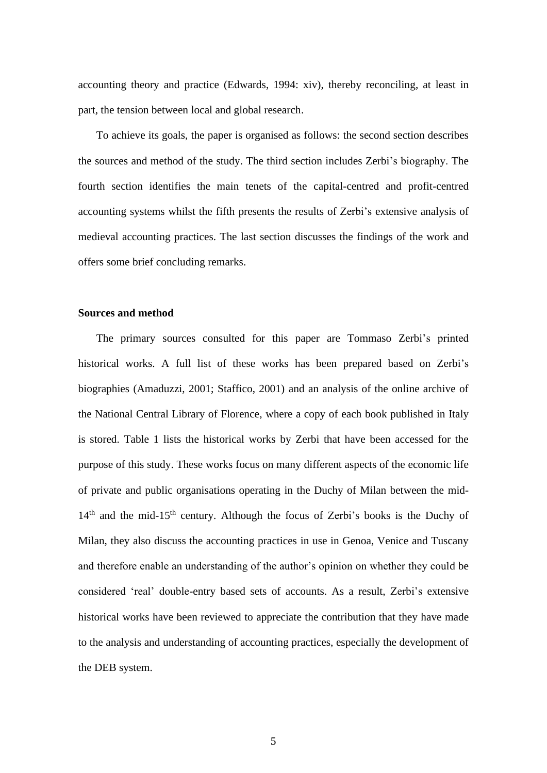accounting theory and practice (Edwards, 1994: xiv), thereby reconciling, at least in part, the tension between local and global research.

To achieve its goals, the paper is organised as follows: the second section describes the sources and method of the study. The third section includes Zerbi's biography. The fourth section identifies the main tenets of the capital-centred and profit-centred accounting systems whilst the fifth presents the results of Zerbi's extensive analysis of medieval accounting practices. The last section discusses the findings of the work and offers some brief concluding remarks.

#### **Sources and method**

The primary sources consulted for this paper are Tommaso Zerbi's printed historical works. A full list of these works has been prepared based on Zerbi's biographies (Amaduzzi, 2001; Staffico, 2001) and an analysis of the online archive of the National Central Library of Florence, where a copy of each book published in Italy is stored. Table 1 lists the historical works by Zerbi that have been accessed for the purpose of this study. These works focus on many different aspects of the economic life of private and public organisations operating in the Duchy of Milan between the mid- $14<sup>th</sup>$  and the mid-15<sup>th</sup> century. Although the focus of Zerbi's books is the Duchy of Milan, they also discuss the accounting practices in use in Genoa, Venice and Tuscany and therefore enable an understanding of the author's opinion on whether they could be considered 'real' double-entry based sets of accounts. As a result, Zerbi's extensive historical works have been reviewed to appreciate the contribution that they have made to the analysis and understanding of accounting practices, especially the development of the DEB system.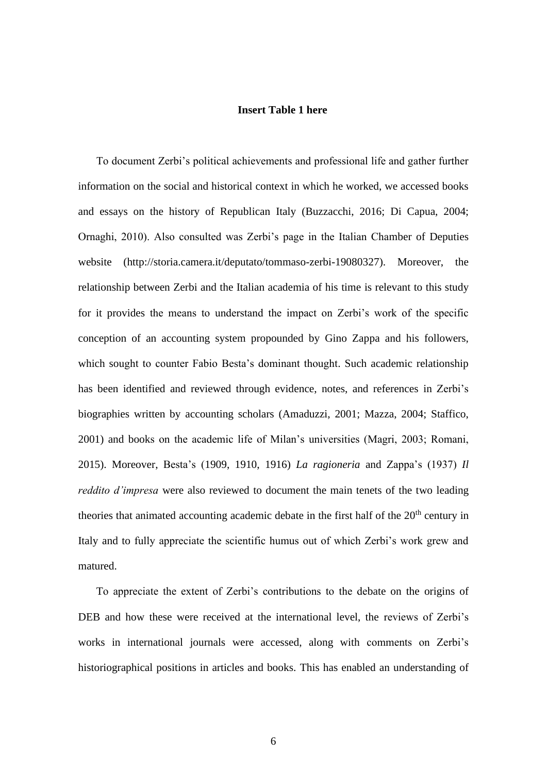#### **Insert Table 1 here**

To document Zerbi's political achievements and professional life and gather further information on the social and historical context in which he worked, we accessed books and essays on the history of Republican Italy (Buzzacchi, 2016; Di Capua, 2004; Ornaghi, 2010). Also consulted was Zerbi's page in the Italian Chamber of Deputies website [\(http://storia.camera.it/deputato/tommaso-zerbi-19080327\)](http://storia.camera.it/deputato/tommaso-zerbi-19080327). Moreover, the relationship between Zerbi and the Italian academia of his time is relevant to this study for it provides the means to understand the impact on Zerbi's work of the specific conception of an accounting system propounded by Gino Zappa and his followers, which sought to counter Fabio Besta's dominant thought. Such academic relationship has been identified and reviewed through evidence, notes, and references in Zerbi's biographies written by accounting scholars (Amaduzzi, 2001; Mazza, 2004; Staffico, 2001) and books on the academic life of Milan's universities (Magri, 2003; Romani, 2015). Moreover, Besta's (1909, 1910, 1916) *La ragioneria* and Zappa's (1937) *Il reddito d'impresa* were also reviewed to document the main tenets of the two leading theories that animated accounting academic debate in the first half of the  $20<sup>th</sup>$  century in Italy and to fully appreciate the scientific humus out of which Zerbi's work grew and matured.

To appreciate the extent of Zerbi's contributions to the debate on the origins of DEB and how these were received at the international level, the reviews of Zerbi's works in international journals were accessed, along with comments on Zerbi's historiographical positions in articles and books. This has enabled an understanding of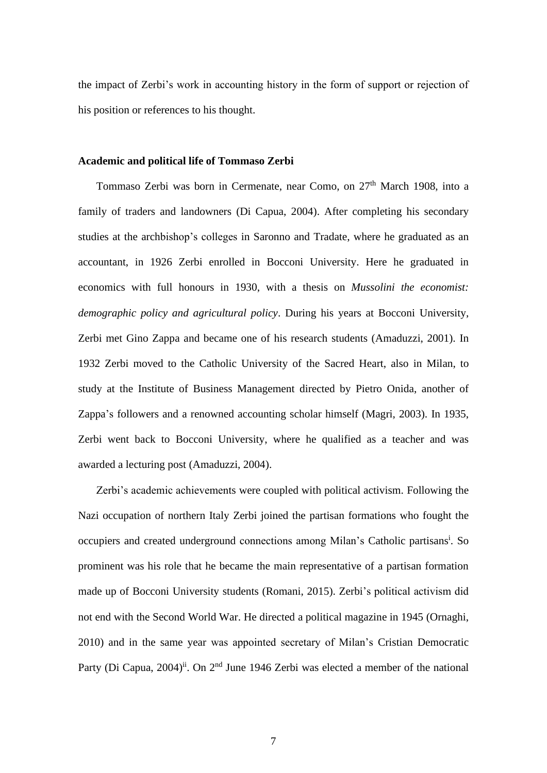the impact of Zerbi's work in accounting history in the form of support or rejection of his position or references to his thought.

#### **Academic and political life of Tommaso Zerbi**

Tommaso Zerbi was born in Cermenate, near Como, on 27<sup>th</sup> March 1908, into a family of traders and landowners (Di Capua, 2004). After completing his secondary studies at the archbishop's colleges in Saronno and Tradate, where he graduated as an accountant, in 1926 Zerbi enrolled in Bocconi University. Here he graduated in economics with full honours in 1930, with a thesis on *Mussolini the economist: demographic policy and agricultural policy*. During his years at Bocconi University, Zerbi met Gino Zappa and became one of his research students (Amaduzzi, 2001). In 1932 Zerbi moved to the Catholic University of the Sacred Heart, also in Milan, to study at the Institute of Business Management directed by Pietro Onida, another of Zappa's followers and a renowned accounting scholar himself (Magri, 2003). In 1935, Zerbi went back to Bocconi University, where he qualified as a teacher and was awarded a lecturing post (Amaduzzi, 2004).

Zerbi's academic achievements were coupled with political activism. Following the Nazi occupation of northern Italy Zerbi joined the partisan formations who fought the occupiers and created underground connections among Milan's Catholic partisans<sup>i</sup>. So prominent was his role that he became the main representative of a partisan formation made up of Bocconi University students (Romani, 2015). Zerbi's political activism did not end with the Second World War. He directed a political magazine in 1945 (Ornaghi, 2010) and in the same year was appointed secretary of Milan's Cristian Democratic Party (Di Capua, 2004)<sup>ii</sup>. On 2<sup>nd</sup> June 1946 Zerbi was elected a member of the national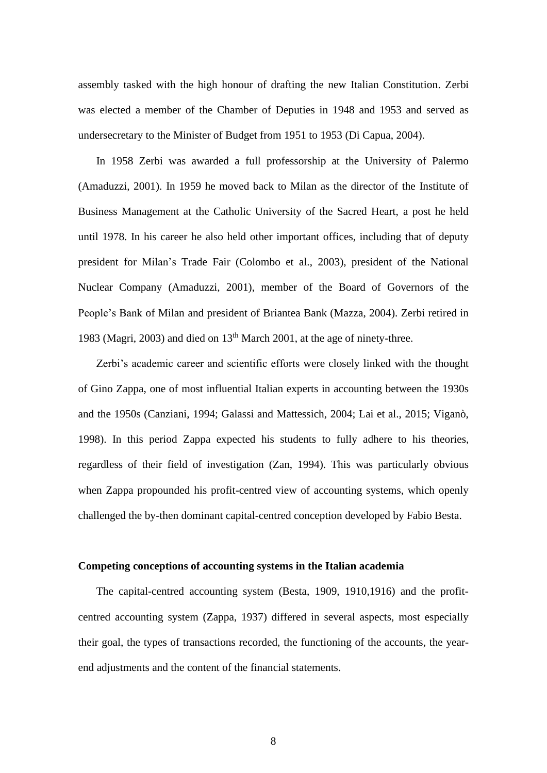assembly tasked with the high honour of drafting the new Italian Constitution. Zerbi was elected a member of the Chamber of Deputies in 1948 and 1953 and served as undersecretary to the Minister of Budget from 1951 to 1953 (Di Capua, 2004).

In 1958 Zerbi was awarded a full professorship at the University of Palermo (Amaduzzi, 2001). In 1959 he moved back to Milan as the director of the Institute of Business Management at the Catholic University of the Sacred Heart, a post he held until 1978. In his career he also held other important offices, including that of deputy president for Milan's Trade Fair (Colombo et al., 2003), president of the National Nuclear Company (Amaduzzi, 2001), member of the Board of Governors of the People's Bank of Milan and president of Briantea Bank (Mazza, 2004). Zerbi retired in 1983 (Magri, 2003) and died on  $13<sup>th</sup>$  March 2001, at the age of ninety-three.

Zerbi's academic career and scientific efforts were closely linked with the thought of Gino Zappa, one of most influential Italian experts in accounting between the 1930s and the 1950s (Canziani, 1994; Galassi and Mattessich, 2004; Lai et al., 2015; Viganò, 1998). In this period Zappa expected his students to fully adhere to his theories, regardless of their field of investigation (Zan, 1994). This was particularly obvious when Zappa propounded his profit-centred view of accounting systems, which openly challenged the by-then dominant capital-centred conception developed by Fabio Besta.

#### **Competing conceptions of accounting systems in the Italian academia**

The capital-centred accounting system (Besta, 1909, 1910,1916) and the profitcentred accounting system (Zappa, 1937) differed in several aspects, most especially their goal, the types of transactions recorded, the functioning of the accounts, the yearend adjustments and the content of the financial statements.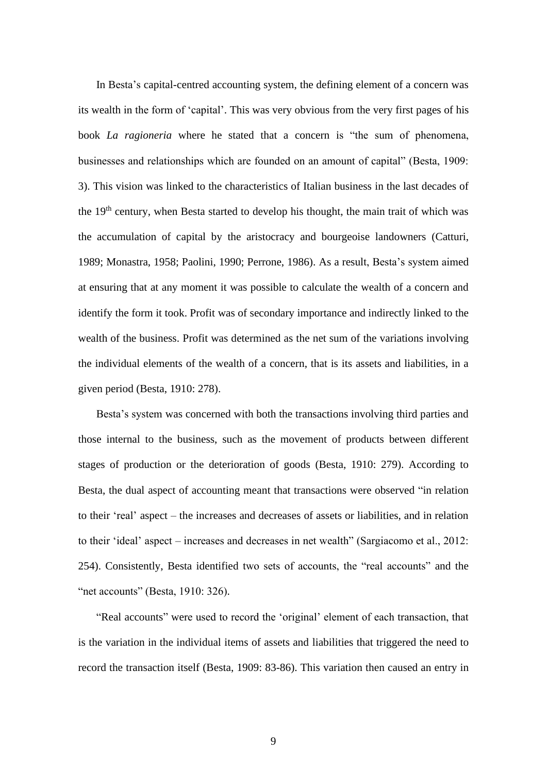In Besta's capital-centred accounting system, the defining element of a concern was its wealth in the form of 'capital'. This was very obvious from the very first pages of his book *La ragioneria* where he stated that a concern is "the sum of phenomena, businesses and relationships which are founded on an amount of capital" (Besta, 1909: 3). This vision was linked to the characteristics of Italian business in the last decades of the 19<sup>th</sup> century, when Besta started to develop his thought, the main trait of which was the accumulation of capital by the aristocracy and bourgeoise landowners (Catturi, 1989; Monastra, 1958; Paolini, 1990; Perrone, 1986). As a result, Besta's system aimed at ensuring that at any moment it was possible to calculate the wealth of a concern and identify the form it took. Profit was of secondary importance and indirectly linked to the wealth of the business. Profit was determined as the net sum of the variations involving the individual elements of the wealth of a concern, that is its assets and liabilities, in a given period (Besta, 1910: 278).

Besta's system was concerned with both the transactions involving third parties and those internal to the business, such as the movement of products between different stages of production or the deterioration of goods (Besta, 1910: 279). According to Besta, the dual aspect of accounting meant that transactions were observed "in relation to their 'real' aspect – the increases and decreases of assets or liabilities, and in relation to their 'ideal' aspect – increases and decreases in net wealth" (Sargiacomo et al., 2012: 254). Consistently, Besta identified two sets of accounts, the "real accounts" and the "net accounts" (Besta, 1910: 326).

"Real accounts" were used to record the 'original' element of each transaction, that is the variation in the individual items of assets and liabilities that triggered the need to record the transaction itself (Besta, 1909: 83-86). This variation then caused an entry in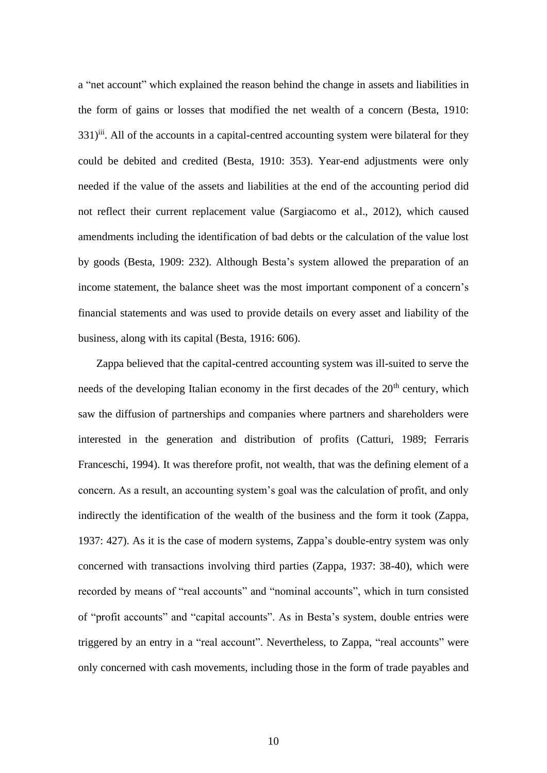a "net account" which explained the reason behind the change in assets and liabilities in the form of gains or losses that modified the net wealth of a concern (Besta, 1910: 331)<sup>iii</sup>. All of the accounts in a capital-centred accounting system were bilateral for they could be debited and credited (Besta, 1910: 353). Year-end adjustments were only needed if the value of the assets and liabilities at the end of the accounting period did not reflect their current replacement value (Sargiacomo et al., 2012), which caused amendments including the identification of bad debts or the calculation of the value lost by goods (Besta, 1909: 232). Although Besta's system allowed the preparation of an income statement, the balance sheet was the most important component of a concern's financial statements and was used to provide details on every asset and liability of the business, along with its capital (Besta, 1916: 606).

Zappa believed that the capital-centred accounting system was ill-suited to serve the needs of the developing Italian economy in the first decades of the  $20<sup>th</sup>$  century, which saw the diffusion of partnerships and companies where partners and shareholders were interested in the generation and distribution of profits (Catturi, 1989; Ferraris Franceschi, 1994). It was therefore profit, not wealth, that was the defining element of a concern. As a result, an accounting system's goal was the calculation of profit, and only indirectly the identification of the wealth of the business and the form it took (Zappa, 1937: 427). As it is the case of modern systems, Zappa's double-entry system was only concerned with transactions involving third parties (Zappa, 1937: 38-40), which were recorded by means of "real accounts" and "nominal accounts", which in turn consisted of "profit accounts" and "capital accounts". As in Besta's system, double entries were triggered by an entry in a "real account". Nevertheless, to Zappa, "real accounts" were only concerned with cash movements, including those in the form of trade payables and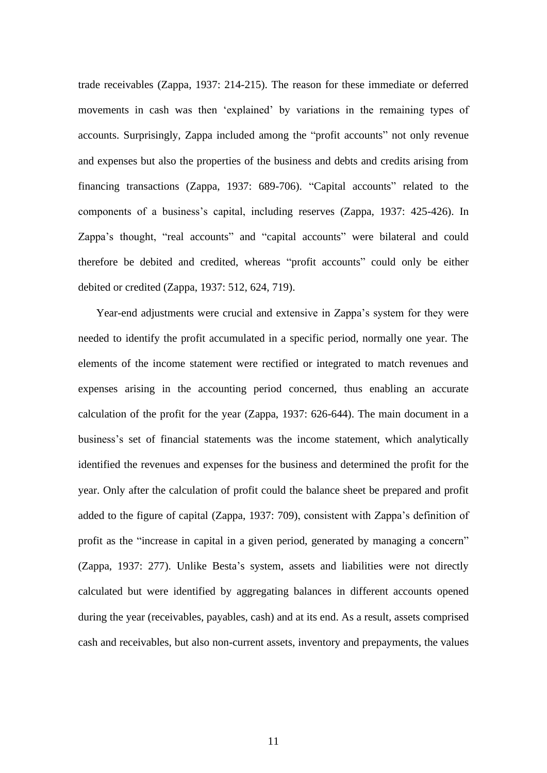trade receivables (Zappa, 1937: 214-215). The reason for these immediate or deferred movements in cash was then 'explained' by variations in the remaining types of accounts. Surprisingly, Zappa included among the "profit accounts" not only revenue and expenses but also the properties of the business and debts and credits arising from financing transactions (Zappa, 1937: 689-706). "Capital accounts" related to the components of a business's capital, including reserves (Zappa, 1937: 425-426). In Zappa's thought, "real accounts" and "capital accounts" were bilateral and could therefore be debited and credited, whereas "profit accounts" could only be either debited or credited (Zappa, 1937: 512, 624, 719).

Year-end adjustments were crucial and extensive in Zappa's system for they were needed to identify the profit accumulated in a specific period, normally one year. The elements of the income statement were rectified or integrated to match revenues and expenses arising in the accounting period concerned, thus enabling an accurate calculation of the profit for the year (Zappa, 1937: 626-644). The main document in a business's set of financial statements was the income statement, which analytically identified the revenues and expenses for the business and determined the profit for the year. Only after the calculation of profit could the balance sheet be prepared and profit added to the figure of capital (Zappa, 1937: 709), consistent with Zappa's definition of profit as the "increase in capital in a given period, generated by managing a concern" (Zappa, 1937: 277). Unlike Besta's system, assets and liabilities were not directly calculated but were identified by aggregating balances in different accounts opened during the year (receivables, payables, cash) and at its end. As a result, assets comprised cash and receivables, but also non-current assets, inventory and prepayments, the values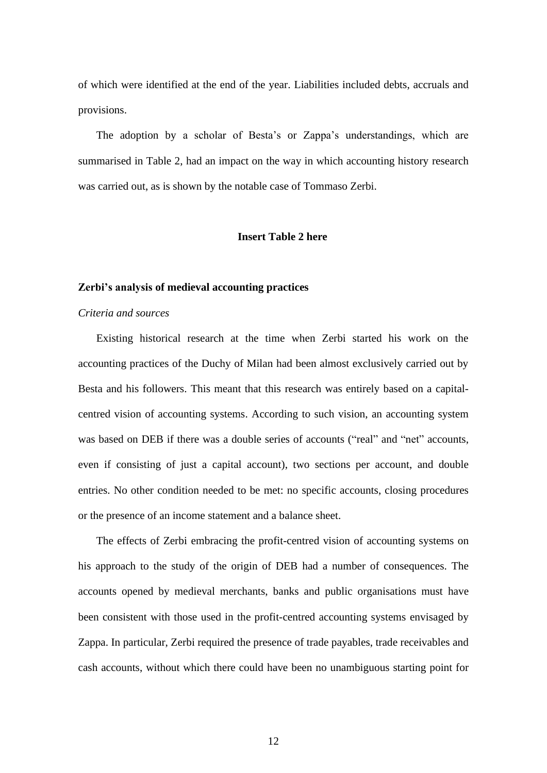of which were identified at the end of the year. Liabilities included debts, accruals and provisions.

The adoption by a scholar of Besta's or Zappa's understandings, which are summarised in Table 2, had an impact on the way in which accounting history research was carried out, as is shown by the notable case of Tommaso Zerbi.

#### **Insert Table 2 here**

#### **Zerbi's analysis of medieval accounting practices**

#### *Criteria and sources*

Existing historical research at the time when Zerbi started his work on the accounting practices of the Duchy of Milan had been almost exclusively carried out by Besta and his followers. This meant that this research was entirely based on a capitalcentred vision of accounting systems. According to such vision, an accounting system was based on DEB if there was a double series of accounts ("real" and "net" accounts, even if consisting of just a capital account), two sections per account, and double entries. No other condition needed to be met: no specific accounts, closing procedures or the presence of an income statement and a balance sheet.

The effects of Zerbi embracing the profit-centred vision of accounting systems on his approach to the study of the origin of DEB had a number of consequences. The accounts opened by medieval merchants, banks and public organisations must have been consistent with those used in the profit-centred accounting systems envisaged by Zappa. In particular, Zerbi required the presence of trade payables, trade receivables and cash accounts, without which there could have been no unambiguous starting point for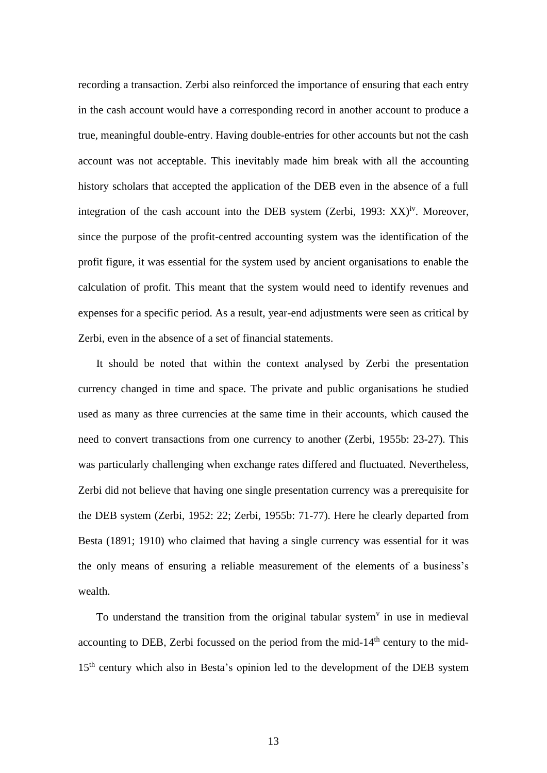recording a transaction. Zerbi also reinforced the importance of ensuring that each entry in the cash account would have a corresponding record in another account to produce a true, meaningful double-entry. Having double-entries for other accounts but not the cash account was not acceptable. This inevitably made him break with all the accounting history scholars that accepted the application of the DEB even in the absence of a full integration of the cash account into the DEB system (Zerbi, 1993:  $XX$ )<sup>iv</sup>. Moreover, since the purpose of the profit-centred accounting system was the identification of the profit figure, it was essential for the system used by ancient organisations to enable the calculation of profit. This meant that the system would need to identify revenues and expenses for a specific period. As a result, year-end adjustments were seen as critical by Zerbi, even in the absence of a set of financial statements.

It should be noted that within the context analysed by Zerbi the presentation currency changed in time and space. The private and public organisations he studied used as many as three currencies at the same time in their accounts, which caused the need to convert transactions from one currency to another (Zerbi, 1955b: 23-27). This was particularly challenging when exchange rates differed and fluctuated. Nevertheless, Zerbi did not believe that having one single presentation currency was a prerequisite for the DEB system (Zerbi, 1952: 22; Zerbi, 1955b: 71-77). Here he clearly departed from Besta (1891; 1910) who claimed that having a single currency was essential for it was the only means of ensuring a reliable measurement of the elements of a business's wealth.

To understand the transition from the original tabular system $v$  in use in medieval accounting to DEB, Zerbi focussed on the period from the mid- $14<sup>th</sup>$  century to the mid-15<sup>th</sup> century which also in Besta's opinion led to the development of the DEB system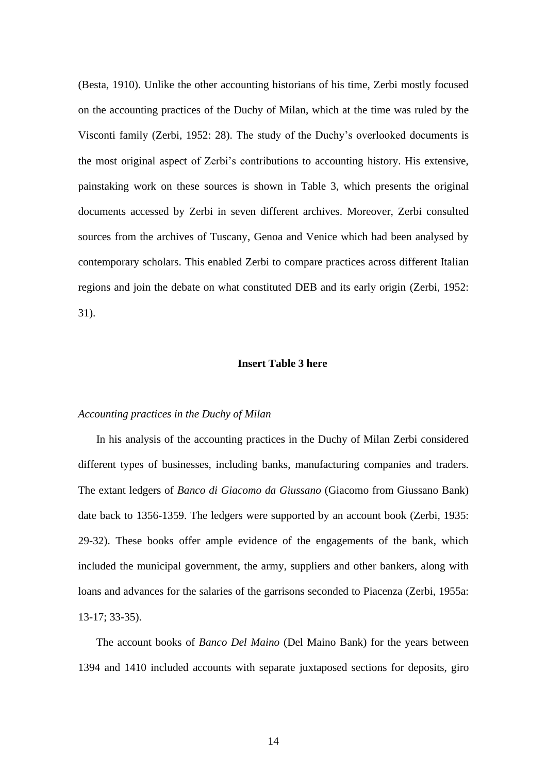(Besta, 1910). Unlike the other accounting historians of his time, Zerbi mostly focused on the accounting practices of the Duchy of Milan, which at the time was ruled by the Visconti family (Zerbi, 1952: 28). The study of the Duchy's overlooked documents is the most original aspect of Zerbi's contributions to accounting history. His extensive, painstaking work on these sources is shown in Table 3, which presents the original documents accessed by Zerbi in seven different archives. Moreover, Zerbi consulted sources from the archives of Tuscany, Genoa and Venice which had been analysed by contemporary scholars. This enabled Zerbi to compare practices across different Italian regions and join the debate on what constituted DEB and its early origin (Zerbi, 1952: 31).

#### **Insert Table 3 here**

#### *Accounting practices in the Duchy of Milan*

In his analysis of the accounting practices in the Duchy of Milan Zerbi considered different types of businesses, including banks, manufacturing companies and traders. The extant ledgers of *Banco di Giacomo da Giussano* (Giacomo from Giussano Bank) date back to 1356-1359. The ledgers were supported by an account book (Zerbi, 1935: 29-32). These books offer ample evidence of the engagements of the bank, which included the municipal government, the army, suppliers and other bankers, along with loans and advances for the salaries of the garrisons seconded to Piacenza (Zerbi, 1955a: 13-17; 33-35).

The account books of *Banco Del Maino* (Del Maino Bank) for the years between 1394 and 1410 included accounts with separate juxtaposed sections for deposits, giro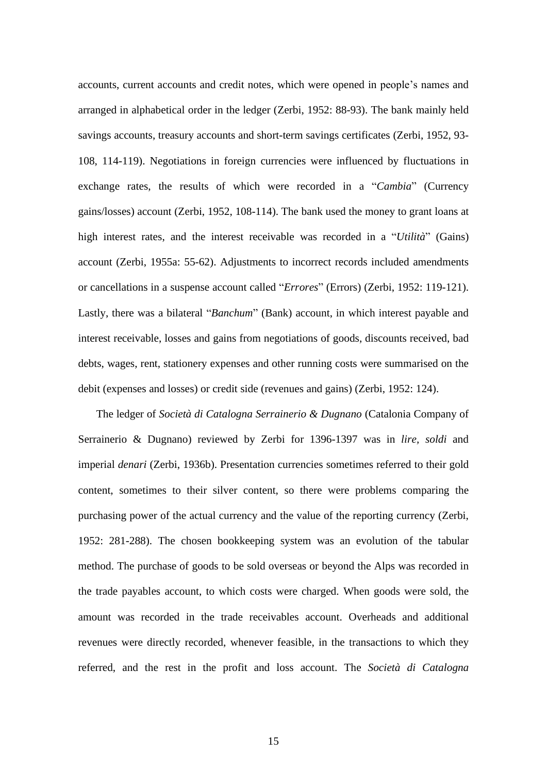accounts, current accounts and credit notes, which were opened in people's names and arranged in alphabetical order in the ledger (Zerbi, 1952: 88-93). The bank mainly held savings accounts, treasury accounts and short-term savings certificates (Zerbi, 1952, 93- 108, 114-119). Negotiations in foreign currencies were influenced by fluctuations in exchange rates, the results of which were recorded in a "*Cambia*" (Currency gains/losses) account (Zerbi, 1952, 108-114). The bank used the money to grant loans at high interest rates, and the interest receivable was recorded in a "*Utilità*" (Gains) account (Zerbi, 1955a: 55-62). Adjustments to incorrect records included amendments or cancellations in a suspense account called "*Errores*" (Errors) (Zerbi, 1952: 119-121). Lastly, there was a bilateral "*Banchum*" (Bank) account, in which interest payable and interest receivable, losses and gains from negotiations of goods, discounts received, bad debts, wages, rent, stationery expenses and other running costs were summarised on the debit (expenses and losses) or credit side (revenues and gains) (Zerbi, 1952: 124).

The ledger of *Società di Catalogna Serrainerio & Dugnano* (Catalonia Company of Serrainerio & Dugnano) reviewed by Zerbi for 1396-1397 was in *lire, soldi* and imperial *denari* (Zerbi, 1936b). Presentation currencies sometimes referred to their gold content, sometimes to their silver content, so there were problems comparing the purchasing power of the actual currency and the value of the reporting currency (Zerbi, 1952: 281-288). The chosen bookkeeping system was an evolution of the tabular method. The purchase of goods to be sold overseas or beyond the Alps was recorded in the trade payables account, to which costs were charged. When goods were sold, the amount was recorded in the trade receivables account. Overheads and additional revenues were directly recorded, whenever feasible, in the transactions to which they referred, and the rest in the profit and loss account. The *Società di Catalogna*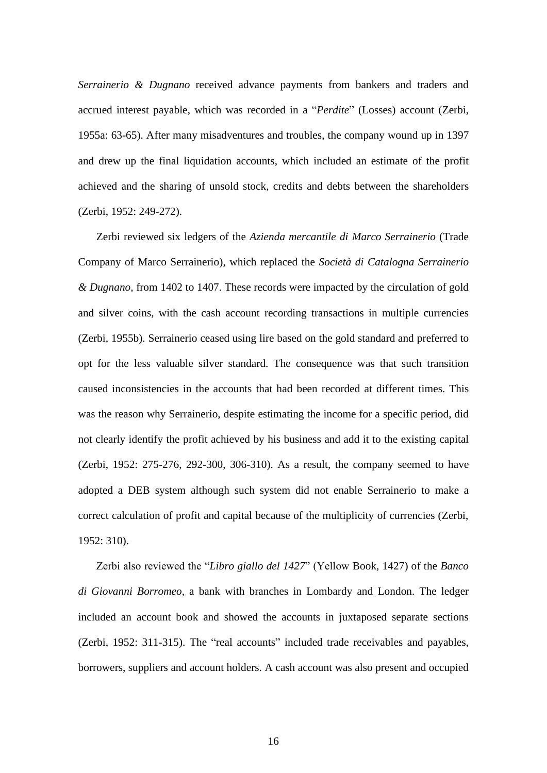*Serrainerio & Dugnano* received advance payments from bankers and traders and accrued interest payable, which was recorded in a "*Perdite*" (Losses) account (Zerbi, 1955a: 63-65). After many misadventures and troubles, the company wound up in 1397 and drew up the final liquidation accounts, which included an estimate of the profit achieved and the sharing of unsold stock, credits and debts between the shareholders (Zerbi, 1952: 249-272).

Zerbi reviewed six ledgers of the *Azienda mercantile di Marco Serrainerio* (Trade Company of Marco Serrainerio), which replaced the *Società di Catalogna Serrainerio & Dugnano,* from 1402 to 1407. These records were impacted by the circulation of gold and silver coins, with the cash account recording transactions in multiple currencies (Zerbi, 1955b). Serrainerio ceased using lire based on the gold standard and preferred to opt for the less valuable silver standard. The consequence was that such transition caused inconsistencies in the accounts that had been recorded at different times. This was the reason why Serrainerio, despite estimating the income for a specific period, did not clearly identify the profit achieved by his business and add it to the existing capital (Zerbi, 1952: 275-276, 292-300, 306-310). As a result, the company seemed to have adopted a DEB system although such system did not enable Serrainerio to make a correct calculation of profit and capital because of the multiplicity of currencies (Zerbi, 1952: 310).

Zerbi also reviewed the "*Libro giallo del 1427*" (Yellow Book, 1427) of the *Banco di Giovanni Borromeo*, a bank with branches in Lombardy and London. The ledger included an account book and showed the accounts in juxtaposed separate sections (Zerbi, 1952: 311-315). The "real accounts" included trade receivables and payables, borrowers, suppliers and account holders. A cash account was also present and occupied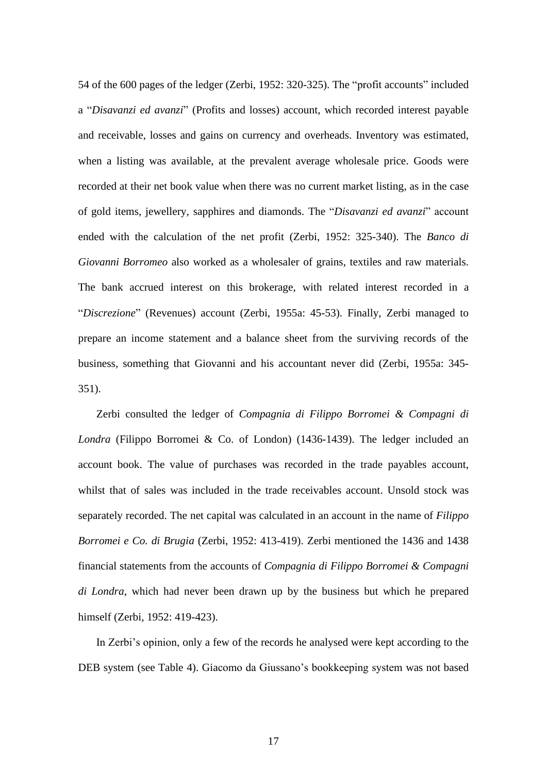54 of the 600 pages of the ledger (Zerbi, 1952: 320-325). The "profit accounts" included a "*Disavanzi ed avanzi*" (Profits and losses) account, which recorded interest payable and receivable, losses and gains on currency and overheads. Inventory was estimated, when a listing was available, at the prevalent average wholesale price. Goods were recorded at their net book value when there was no current market listing, as in the case of gold items, jewellery, sapphires and diamonds. The "*Disavanzi ed avanzi*" account ended with the calculation of the net profit (Zerbi, 1952: 325-340). The *Banco di Giovanni Borromeo* also worked as a wholesaler of grains, textiles and raw materials. The bank accrued interest on this brokerage, with related interest recorded in a "*Discrezione*" (Revenues) account (Zerbi, 1955a: 45-53). Finally, Zerbi managed to prepare an income statement and a balance sheet from the surviving records of the business, something that Giovanni and his accountant never did (Zerbi, 1955a: 345- 351).

Zerbi consulted the ledger of *Compagnia di Filippo Borromei & Compagni di Londra* (Filippo Borromei & Co. of London) (1436-1439). The ledger included an account book. The value of purchases was recorded in the trade payables account, whilst that of sales was included in the trade receivables account. Unsold stock was separately recorded. The net capital was calculated in an account in the name of *Filippo Borromei e Co. di Brugia* (Zerbi, 1952: 413-419). Zerbi mentioned the 1436 and 1438 financial statements from the accounts of *Compagnia di Filippo Borromei & Compagni di Londra*, which had never been drawn up by the business but which he prepared himself (Zerbi, 1952: 419-423).

In Zerbi's opinion, only a few of the records he analysed were kept according to the DEB system (see Table 4). Giacomo da Giussano's bookkeeping system was not based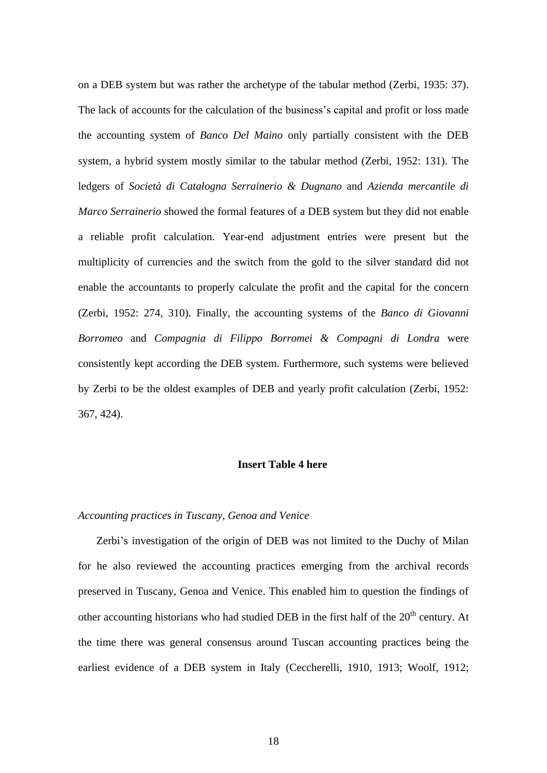on a DEB system but was rather the archetype of the tabular method (Zerbi, 1935: 37). The lack of accounts for the calculation of the business's capital and profit or loss made the accounting system of *Banco Del Maino* only partially consistent with the DEB system, a hybrid system mostly similar to the tabular method (Zerbi, 1952: 131). The ledgers of *Società di Catalogna Serrainerio & Dugnano* and *Azienda mercantile di Marco Serrainerio* showed the formal features of a DEB system but they did not enable a reliable profit calculation. Year-end adjustment entries were present but the multiplicity of currencies and the switch from the gold to the silver standard did not enable the accountants to properly calculate the profit and the capital for the concern (Zerbi, 1952: 274, 310). Finally, the accounting systems of the *Banco di Giovanni Borromeo* and *Compagnia di Filippo Borromei & Compagni di Londra* were consistently kept according the DEB system. Furthermore, such systems were believed by Zerbi to be the oldest examples of DEB and yearly profit calculation (Zerbi, 1952: 367, 424).

#### **Insert Table 4 here**

#### *Accounting practices in Tuscany, Genoa and Venice*

Zerbi's investigation of the origin of DEB was not limited to the Duchy of Milan for he also reviewed the accounting practices emerging from the archival records preserved in Tuscany, Genoa and Venice. This enabled him to question the findings of other accounting historians who had studied DEB in the first half of the 20<sup>th</sup> century. At the time there was general consensus around Tuscan accounting practices being the earliest evidence of a DEB system in Italy (Ceccherelli, 1910, 1913; Woolf, 1912;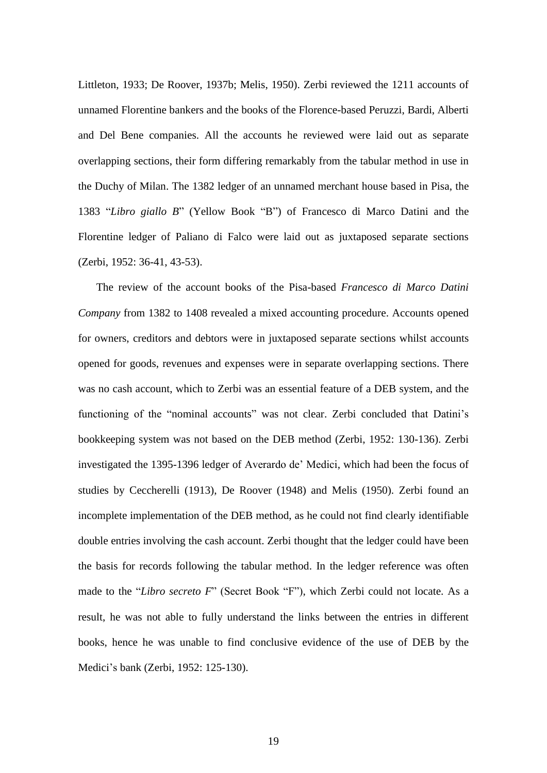Littleton, 1933; De Roover, 1937b; Melis, 1950). Zerbi reviewed the 1211 accounts of unnamed Florentine bankers and the books of the Florence-based Peruzzi, Bardi, Alberti and Del Bene companies. All the accounts he reviewed were laid out as separate overlapping sections, their form differing remarkably from the tabular method in use in the Duchy of Milan. The 1382 ledger of an unnamed merchant house based in Pisa, the 1383 "*Libro giallo B*" (Yellow Book "B") of Francesco di Marco Datini and the Florentine ledger of Paliano di Falco were laid out as juxtaposed separate sections (Zerbi, 1952: 36-41, 43-53).

The review of the account books of the Pisa-based *Francesco di Marco Datini Company* from 1382 to 1408 revealed a mixed accounting procedure. Accounts opened for owners, creditors and debtors were in juxtaposed separate sections whilst accounts opened for goods, revenues and expenses were in separate overlapping sections. There was no cash account, which to Zerbi was an essential feature of a DEB system, and the functioning of the "nominal accounts" was not clear. Zerbi concluded that Datini's bookkeeping system was not based on the DEB method (Zerbi, 1952: 130-136). Zerbi investigated the 1395-1396 ledger of Averardo de' Medici, which had been the focus of studies by Ceccherelli (1913), De Roover (1948) and Melis (1950). Zerbi found an incomplete implementation of the DEB method, as he could not find clearly identifiable double entries involving the cash account. Zerbi thought that the ledger could have been the basis for records following the tabular method. In the ledger reference was often made to the "*Libro secreto F*" (Secret Book "F"), which Zerbi could not locate. As a result, he was not able to fully understand the links between the entries in different books, hence he was unable to find conclusive evidence of the use of DEB by the Medici's bank (Zerbi, 1952: 125-130).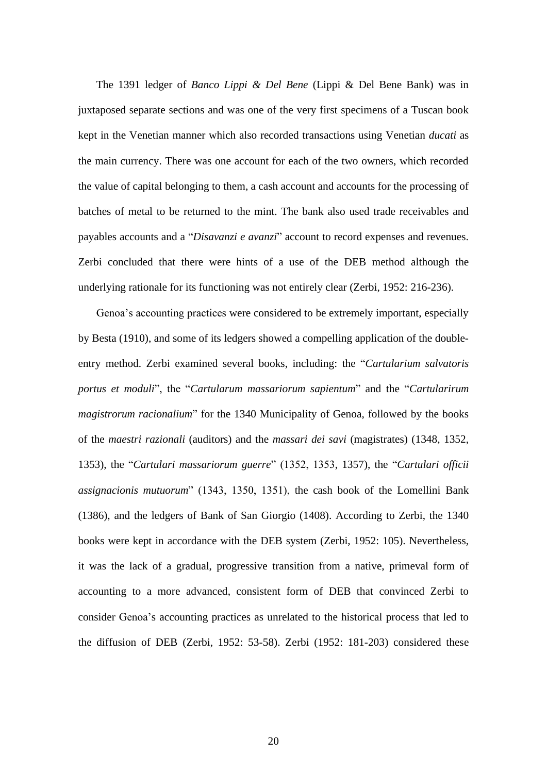The 1391 ledger of *Banco Lippi & Del Bene* (Lippi & Del Bene Bank) was in juxtaposed separate sections and was one of the very first specimens of a Tuscan book kept in the Venetian manner which also recorded transactions using Venetian *ducati* as the main currency. There was one account for each of the two owners, which recorded the value of capital belonging to them, a cash account and accounts for the processing of batches of metal to be returned to the mint. The bank also used trade receivables and payables accounts and a "*Disavanzi e avanzi*" account to record expenses and revenues. Zerbi concluded that there were hints of a use of the DEB method although the underlying rationale for its functioning was not entirely clear (Zerbi, 1952: 216-236).

Genoa's accounting practices were considered to be extremely important, especially by Besta (1910), and some of its ledgers showed a compelling application of the doubleentry method. Zerbi examined several books, including: the "*Cartularium salvatoris portus et moduli*", the "*Cartularum massariorum sapientum*" and the "*Cartularirum magistrorum racionalium*" for the 1340 Municipality of Genoa, followed by the books of the *maestri razionali* (auditors) and the *massari dei savi* (magistrates) (1348, 1352, 1353), the "*Cartulari massariorum guerre*" (1352, 1353, 1357), the "*Cartulari officii assignacionis mutuorum*" (1343, 1350, 1351), the cash book of the Lomellini Bank (1386), and the ledgers of Bank of San Giorgio (1408). According to Zerbi, the 1340 books were kept in accordance with the DEB system (Zerbi, 1952: 105). Nevertheless, it was the lack of a gradual, progressive transition from a native, primeval form of accounting to a more advanced, consistent form of DEB that convinced Zerbi to consider Genoa's accounting practices as unrelated to the historical process that led to the diffusion of DEB (Zerbi, 1952: 53-58). Zerbi (1952: 181-203) considered these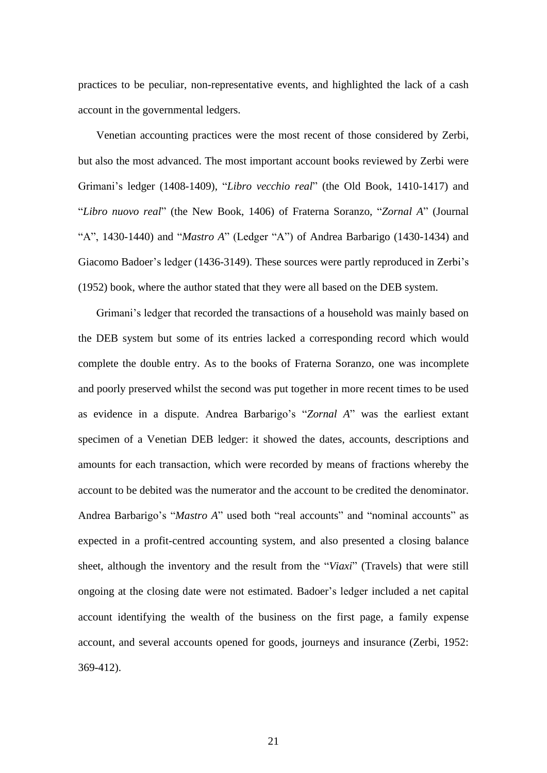practices to be peculiar, non-representative events, and highlighted the lack of a cash account in the governmental ledgers.

Venetian accounting practices were the most recent of those considered by Zerbi, but also the most advanced. The most important account books reviewed by Zerbi were Grimani's ledger (1408-1409), "*Libro vecchio real*" (the Old Book, 1410-1417) and "*Libro nuovo real*" (the New Book, 1406) of Fraterna Soranzo, "*Zornal A*" (Journal "A", 1430-1440) and "*Mastro A*" (Ledger "A") of Andrea Barbarigo (1430-1434) and Giacomo Badoer's ledger (1436-3149). These sources were partly reproduced in Zerbi's (1952) book, where the author stated that they were all based on the DEB system.

Grimani's ledger that recorded the transactions of a household was mainly based on the DEB system but some of its entries lacked a corresponding record which would complete the double entry. As to the books of Fraterna Soranzo, one was incomplete and poorly preserved whilst the second was put together in more recent times to be used as evidence in a dispute. Andrea Barbarigo's "*Zornal A*" was the earliest extant specimen of a Venetian DEB ledger: it showed the dates, accounts, descriptions and amounts for each transaction, which were recorded by means of fractions whereby the account to be debited was the numerator and the account to be credited the denominator. Andrea Barbarigo's "*Mastro A*" used both "real accounts" and "nominal accounts" as expected in a profit-centred accounting system, and also presented a closing balance sheet, although the inventory and the result from the "*Viaxi*" (Travels) that were still ongoing at the closing date were not estimated. Badoer's ledger included a net capital account identifying the wealth of the business on the first page, a family expense account, and several accounts opened for goods, journeys and insurance (Zerbi, 1952: 369-412).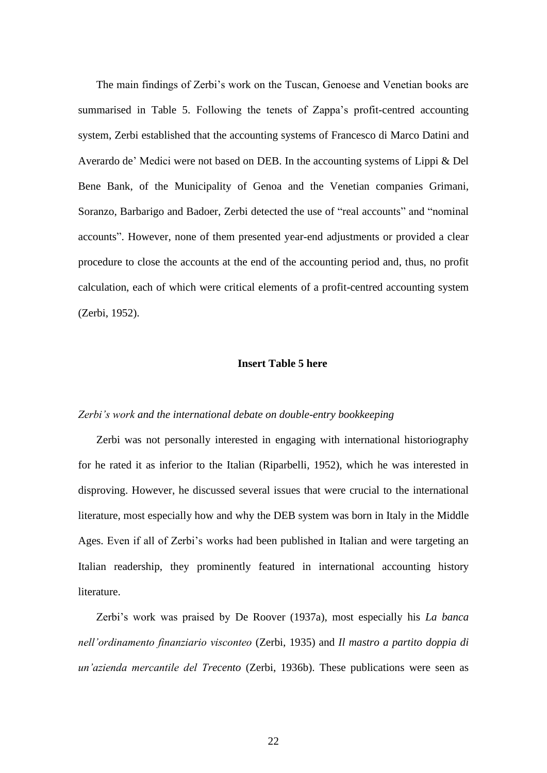The main findings of Zerbi's work on the Tuscan, Genoese and Venetian books are summarised in Table 5. Following the tenets of Zappa's profit-centred accounting system, Zerbi established that the accounting systems of Francesco di Marco Datini and Averardo de' Medici were not based on DEB. In the accounting systems of Lippi & Del Bene Bank, of the Municipality of Genoa and the Venetian companies Grimani, Soranzo, Barbarigo and Badoer, Zerbi detected the use of "real accounts" and "nominal accounts". However, none of them presented year-end adjustments or provided a clear procedure to close the accounts at the end of the accounting period and, thus, no profit calculation, each of which were critical elements of a profit-centred accounting system (Zerbi, 1952).

#### **Insert Table 5 here**

#### *Zerbi's work and the international debate on double-entry bookkeeping*

Zerbi was not personally interested in engaging with international historiography for he rated it as inferior to the Italian (Riparbelli, 1952), which he was interested in disproving. However, he discussed several issues that were crucial to the international literature, most especially how and why the DEB system was born in Italy in the Middle Ages. Even if all of Zerbi's works had been published in Italian and were targeting an Italian readership, they prominently featured in international accounting history literature.

Zerbi's work was praised by De Roover (1937a), most especially his *La banca nell'ordinamento finanziario visconteo* (Zerbi, 1935) and *Il mastro a partito doppia di un'azienda mercantile del Trecento* (Zerbi, 1936b). These publications were seen as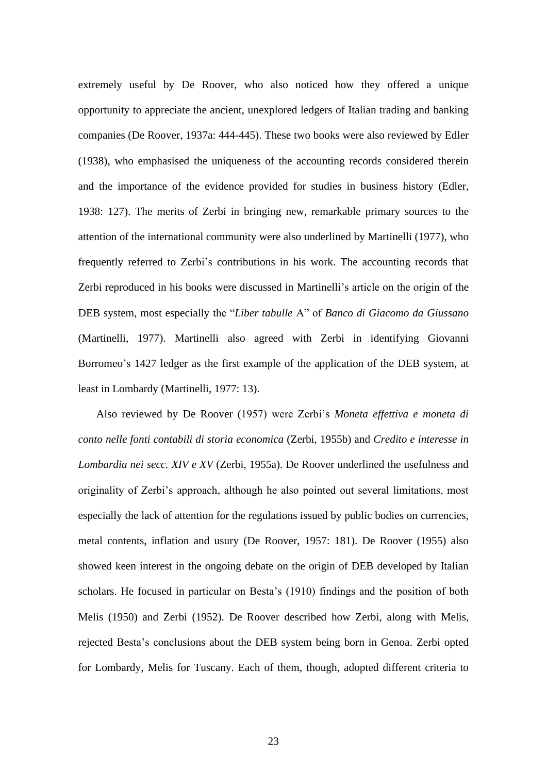extremely useful by De Roover, who also noticed how they offered a unique opportunity to appreciate the ancient, unexplored ledgers of Italian trading and banking companies (De Roover, 1937a: 444-445). These two books were also reviewed by Edler (1938), who emphasised the uniqueness of the accounting records considered therein and the importance of the evidence provided for studies in business history (Edler, 1938: 127). The merits of Zerbi in bringing new, remarkable primary sources to the attention of the international community were also underlined by Martinelli (1977), who frequently referred to Zerbi's contributions in his work. The accounting records that Zerbi reproduced in his books were discussed in Martinelli's article on the origin of the DEB system, most especially the "*Liber tabulle* A" of *Banco di Giacomo da Giussano* (Martinelli, 1977). Martinelli also agreed with Zerbi in identifying Giovanni Borromeo's 1427 ledger as the first example of the application of the DEB system, at least in Lombardy (Martinelli, 1977: 13).

Also reviewed by De Roover (1957) were Zerbi's *Moneta effettiva e moneta di conto nelle fonti contabili di storia economica* (Zerbi, 1955b) and *Credito e interesse in Lombardia nei secc. XIV e XV* (Zerbi, 1955a). De Roover underlined the usefulness and originality of Zerbi's approach, although he also pointed out several limitations, most especially the lack of attention for the regulations issued by public bodies on currencies, metal contents, inflation and usury (De Roover, 1957: 181). De Roover (1955) also showed keen interest in the ongoing debate on the origin of DEB developed by Italian scholars. He focused in particular on Besta's (1910) findings and the position of both Melis (1950) and Zerbi (1952). De Roover described how Zerbi, along with Melis, rejected Besta's conclusions about the DEB system being born in Genoa. Zerbi opted for Lombardy, Melis for Tuscany. Each of them, though, adopted different criteria to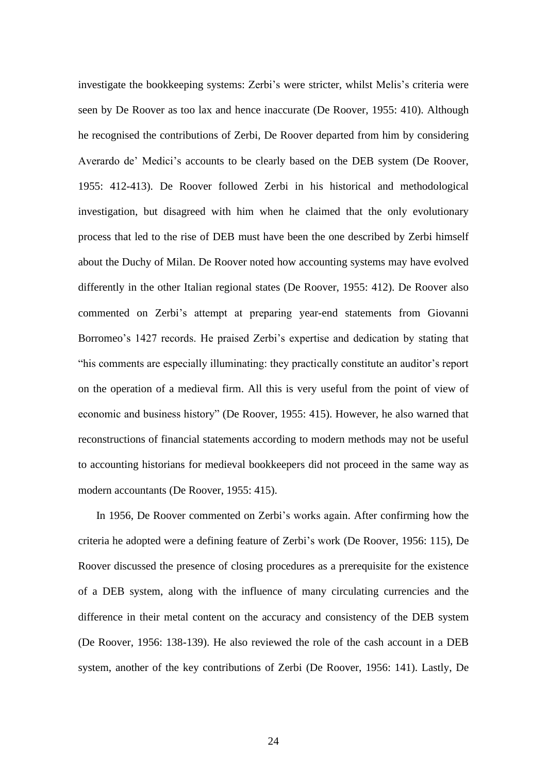investigate the bookkeeping systems: Zerbi's were stricter, whilst Melis's criteria were seen by De Roover as too lax and hence inaccurate (De Roover, 1955: 410). Although he recognised the contributions of Zerbi, De Roover departed from him by considering Averardo de' Medici's accounts to be clearly based on the DEB system (De Roover, 1955: 412-413). De Roover followed Zerbi in his historical and methodological investigation, but disagreed with him when he claimed that the only evolutionary process that led to the rise of DEB must have been the one described by Zerbi himself about the Duchy of Milan. De Roover noted how accounting systems may have evolved differently in the other Italian regional states (De Roover, 1955: 412). De Roover also commented on Zerbi's attempt at preparing year-end statements from Giovanni Borromeo's 1427 records. He praised Zerbi's expertise and dedication by stating that "his comments are especially illuminating: they practically constitute an auditor's report on the operation of a medieval firm. All this is very useful from the point of view of economic and business history" (De Roover, 1955: 415). However, he also warned that reconstructions of financial statements according to modern methods may not be useful to accounting historians for medieval bookkeepers did not proceed in the same way as modern accountants (De Roover, 1955: 415).

In 1956, De Roover commented on Zerbi's works again. After confirming how the criteria he adopted were a defining feature of Zerbi's work (De Roover, 1956: 115), De Roover discussed the presence of closing procedures as a prerequisite for the existence of a DEB system, along with the influence of many circulating currencies and the difference in their metal content on the accuracy and consistency of the DEB system (De Roover, 1956: 138-139). He also reviewed the role of the cash account in a DEB system, another of the key contributions of Zerbi (De Roover, 1956: 141). Lastly, De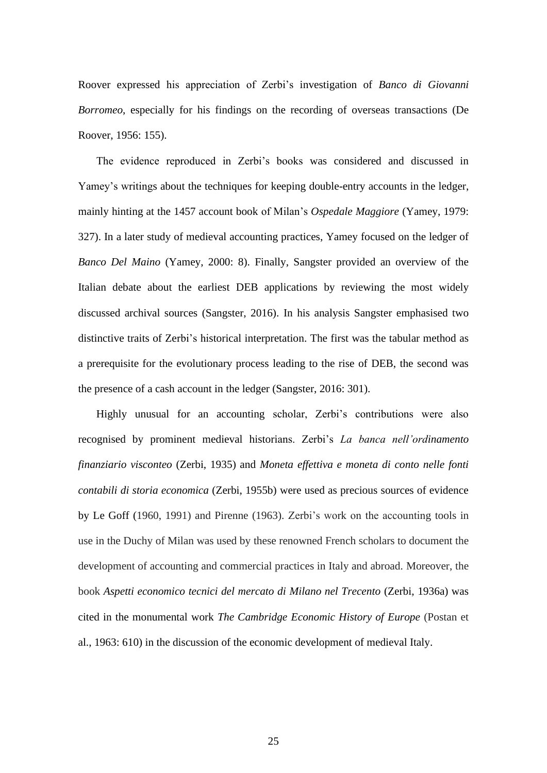Roover expressed his appreciation of Zerbi's investigation of *Banco di Giovanni Borromeo*, especially for his findings on the recording of overseas transactions (De Roover, 1956: 155).

The evidence reproduced in Zerbi's books was considered and discussed in Yamey's writings about the techniques for keeping double-entry accounts in the ledger, mainly hinting at the 1457 account book of Milan's *Ospedale Maggiore* (Yamey, 1979: 327). In a later study of medieval accounting practices, Yamey focused on the ledger of *Banco Del Maino* (Yamey, 2000: 8). Finally, Sangster provided an overview of the Italian debate about the earliest DEB applications by reviewing the most widely discussed archival sources (Sangster, 2016). In his analysis Sangster emphasised two distinctive traits of Zerbi's historical interpretation. The first was the tabular method as a prerequisite for the evolutionary process leading to the rise of DEB, the second was the presence of a cash account in the ledger (Sangster, 2016: 301).

Highly unusual for an accounting scholar, Zerbi's contributions were also recognised by prominent medieval historians. Zerbi's *La banca nell'ordinamento finanziario visconteo* (Zerbi, 1935) and *Moneta effettiva e moneta di conto nelle fonti contabili di storia economica* (Zerbi, 1955b) were used as precious sources of evidence by Le Goff (1960, 1991) and Pirenne (1963). Zerbi's work on the accounting tools in use in the Duchy of Milan was used by these renowned French scholars to document the development of accounting and commercial practices in Italy and abroad. Moreover, the book *Aspetti economico tecnici del mercato di Milano nel Trecento* (Zerbi, 1936a) was cited in the monumental work *The Cambridge Economic History of Europe* (Postan et al., 1963: 610) in the discussion of the economic development of medieval Italy.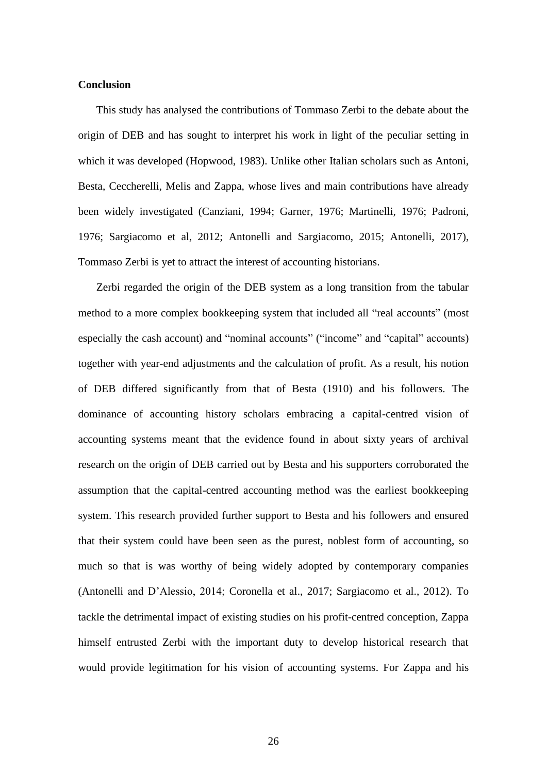#### **Conclusion**

This study has analysed the contributions of Tommaso Zerbi to the debate about the origin of DEB and has sought to interpret his work in light of the peculiar setting in which it was developed (Hopwood, 1983). Unlike other Italian scholars such as Antoni, Besta, Ceccherelli, Melis and Zappa, whose lives and main contributions have already been widely investigated (Canziani, 1994; Garner, 1976; Martinelli, 1976; Padroni, 1976; Sargiacomo et al, 2012; Antonelli and Sargiacomo, 2015; Antonelli, 2017), Tommaso Zerbi is yet to attract the interest of accounting historians.

Zerbi regarded the origin of the DEB system as a long transition from the tabular method to a more complex bookkeeping system that included all "real accounts" (most especially the cash account) and "nominal accounts" ("income" and "capital" accounts) together with year-end adjustments and the calculation of profit. As a result, his notion of DEB differed significantly from that of Besta (1910) and his followers. The dominance of accounting history scholars embracing a capital-centred vision of accounting systems meant that the evidence found in about sixty years of archival research on the origin of DEB carried out by Besta and his supporters corroborated the assumption that the capital-centred accounting method was the earliest bookkeeping system. This research provided further support to Besta and his followers and ensured that their system could have been seen as the purest, noblest form of accounting, so much so that is was worthy of being widely adopted by contemporary companies (Antonelli and D'Alessio, 2014; Coronella et al., 2017; Sargiacomo et al., 2012). To tackle the detrimental impact of existing studies on his profit-centred conception, Zappa himself entrusted Zerbi with the important duty to develop historical research that would provide legitimation for his vision of accounting systems. For Zappa and his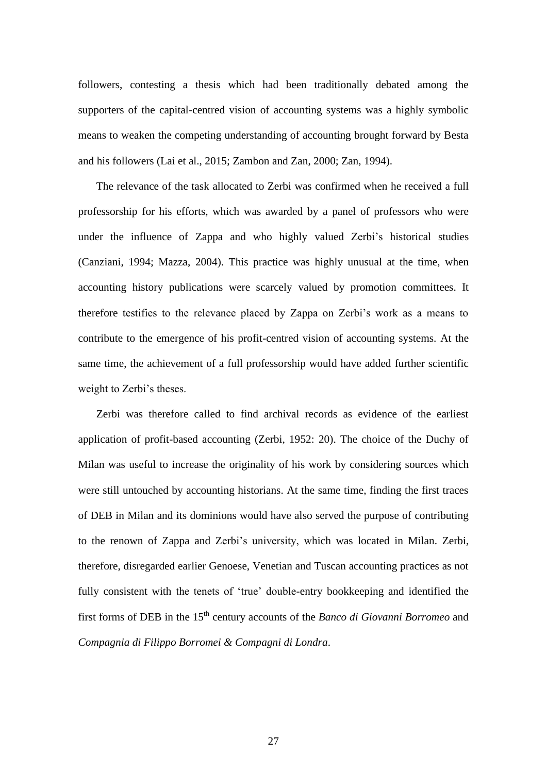followers, contesting a thesis which had been traditionally debated among the supporters of the capital-centred vision of accounting systems was a highly symbolic means to weaken the competing understanding of accounting brought forward by Besta and his followers (Lai et al., 2015; Zambon and Zan, 2000; Zan, 1994).

The relevance of the task allocated to Zerbi was confirmed when he received a full professorship for his efforts, which was awarded by a panel of professors who were under the influence of Zappa and who highly valued Zerbi's historical studies (Canziani, 1994; Mazza, 2004). This practice was highly unusual at the time, when accounting history publications were scarcely valued by promotion committees. It therefore testifies to the relevance placed by Zappa on Zerbi's work as a means to contribute to the emergence of his profit-centred vision of accounting systems. At the same time, the achievement of a full professorship would have added further scientific weight to Zerbi's theses.

Zerbi was therefore called to find archival records as evidence of the earliest application of profit-based accounting (Zerbi, 1952: 20). The choice of the Duchy of Milan was useful to increase the originality of his work by considering sources which were still untouched by accounting historians. At the same time, finding the first traces of DEB in Milan and its dominions would have also served the purpose of contributing to the renown of Zappa and Zerbi's university, which was located in Milan. Zerbi, therefore, disregarded earlier Genoese, Venetian and Tuscan accounting practices as not fully consistent with the tenets of 'true' double-entry bookkeeping and identified the first forms of DEB in the 15<sup>th</sup> century accounts of the *Banco di Giovanni Borromeo* and *Compagnia di Filippo Borromei & Compagni di Londra*.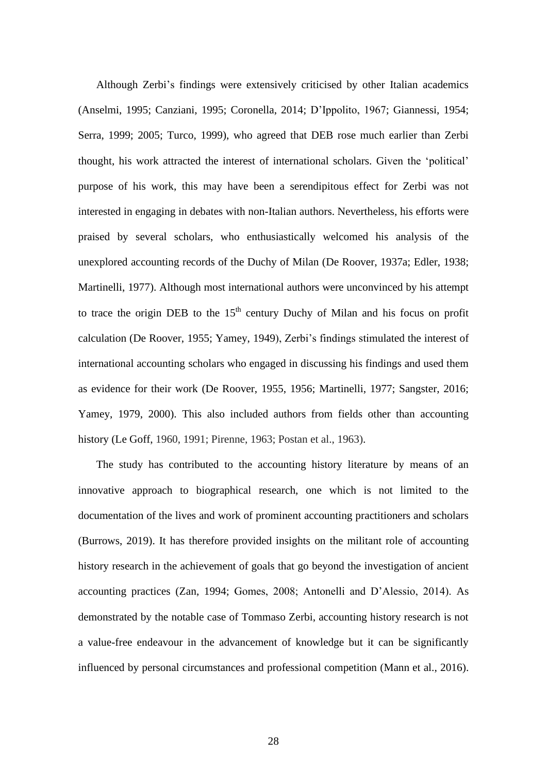Although Zerbi's findings were extensively criticised by other Italian academics (Anselmi, 1995; Canziani, 1995; Coronella, 2014; D'Ippolito, 1967; Giannessi, 1954; Serra, 1999; 2005; Turco, 1999), who agreed that DEB rose much earlier than Zerbi thought, his work attracted the interest of international scholars. Given the 'political' purpose of his work, this may have been a serendipitous effect for Zerbi was not interested in engaging in debates with non-Italian authors. Nevertheless, his efforts were praised by several scholars, who enthusiastically welcomed his analysis of the unexplored accounting records of the Duchy of Milan (De Roover, 1937a; Edler, 1938; Martinelli, 1977). Although most international authors were unconvinced by his attempt to trace the origin DEB to the  $15<sup>th</sup>$  century Duchy of Milan and his focus on profit calculation (De Roover, 1955; Yamey, 1949), Zerbi's findings stimulated the interest of international accounting scholars who engaged in discussing his findings and used them as evidence for their work (De Roover, 1955, 1956; Martinelli, 1977; Sangster, 2016; Yamey, 1979, 2000). This also included authors from fields other than accounting history (Le Goff, 1960, 1991; Pirenne, 1963; Postan et al., 1963).

The study has contributed to the accounting history literature by means of an innovative approach to biographical research, one which is not limited to the documentation of the lives and work of prominent accounting practitioners and scholars (Burrows, 2019). It has therefore provided insights on the militant role of accounting history research in the achievement of goals that go beyond the investigation of ancient accounting practices (Zan, 1994; Gomes, 2008; Antonelli and D'Alessio, 2014). As demonstrated by the notable case of Tommaso Zerbi, accounting history research is not a value-free endeavour in the advancement of knowledge but it can be significantly influenced by personal circumstances and professional competition (Mann et al., 2016).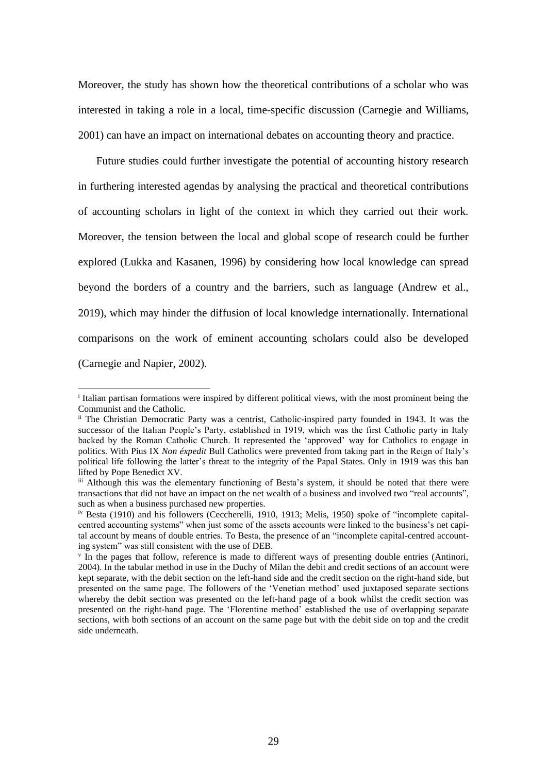Moreover, the study has shown how the theoretical contributions of a scholar who was interested in taking a role in a local, time-specific discussion (Carnegie and Williams, 2001) can have an impact on international debates on accounting theory and practice.

Future studies could further investigate the potential of accounting history research in furthering interested agendas by analysing the practical and theoretical contributions of accounting scholars in light of the context in which they carried out their work. Moreover, the tension between the local and global scope of research could be further explored (Lukka and Kasanen, 1996) by considering how local knowledge can spread beyond the borders of a country and the barriers, such as language (Andrew et al., 2019), which may hinder the diffusion of local knowledge internationally. International comparisons on the work of eminent accounting scholars could also be developed (Carnegie and Napier, 2002).

<sup>&</sup>lt;sup>i</sup> Italian partisan formations were inspired by different political views, with the most prominent being the Communist and the Catholic.

ii The Christian Democratic Party was a centrist, Catholic-inspired party founded in 1943. It was the successor of the Italian People's Party, established in 1919, which was the first Catholic party in Italy backed by the Roman Catholic Church. It represented the 'approved' way for Catholics to engage in politics. With Pius IX *Non éxpedit* Bull Catholics were prevented from taking part in the Reign of Italy's political life following the latter's threat to the integrity of the Papal States. Only in 1919 was this ban lifted by Pope Benedict XV.

iii Although this was the elementary functioning of Besta's system, it should be noted that there were transactions that did not have an impact on the net wealth of a business and involved two "real accounts", such as when a business purchased new properties.

iv Besta (1910) and his followers (Ceccherelli, 1910, 1913; Melis, 1950) spoke of "incomplete capitalcentred accounting systems" when just some of the assets accounts were linked to the business's net capital account by means of double entries. To Besta, the presence of an "incomplete capital-centred accounting system" was still consistent with the use of DEB.

v In the pages that follow, reference is made to different ways of presenting double entries (Antinori, 2004). In the tabular method in use in the Duchy of Milan the debit and credit sections of an account were kept separate, with the debit section on the left-hand side and the credit section on the right-hand side, but presented on the same page. The followers of the 'Venetian method' used juxtaposed separate sections whereby the debit section was presented on the left-hand page of a book whilst the credit section was presented on the right-hand page. The 'Florentine method' established the use of overlapping separate sections, with both sections of an account on the same page but with the debit side on top and the credit side underneath.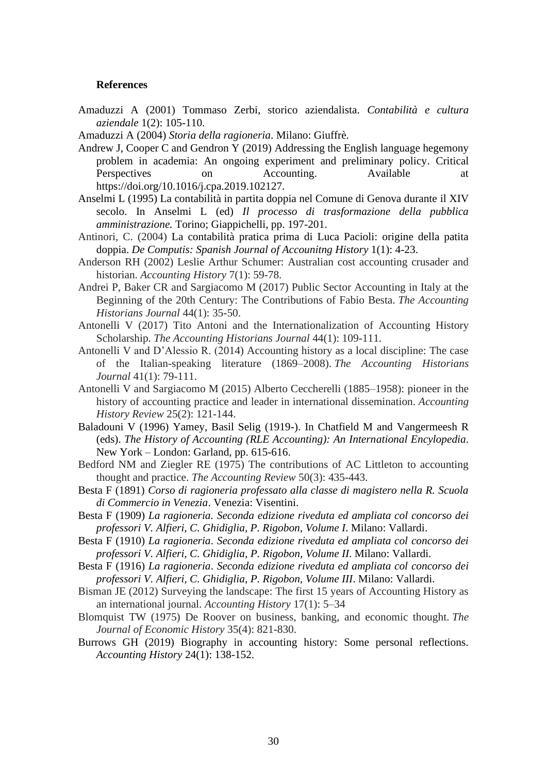#### **References**

- Amaduzzi A (2001) Tommaso Zerbi, storico aziendalista. *Contabilità e cultura aziendale* 1(2): 105-110.
- Amaduzzi A (2004) *Storia della ragioneria*. Milano: Giuffrè.
- Andrew J, Cooper C and Gendron Y (2019) Addressing the English language hegemony problem in academia: An ongoing experiment and preliminary policy. Critical Perspectives on Accounting. Available at https://doi.org/10.1016/j.cpa.2019.102127.
- Anselmi L (1995) La contabilità in partita doppia nel Comune di Genova durante il XIV secolo. In Anselmi L (ed) *Il processo di trasformazione della pubblica amministrazione.* Torino; Giappichelli, pp. 197-201.
- Antinori, C. (2004) La contabilità pratica prima di Luca Pacioli: origine della patita doppia. *De Computis: Spanish Journal of Accounitng History* 1(1): 4-23.
- Anderson RH (2002) Leslie Arthur Schumer: Australian cost accounting crusader and historian. *Accounting History* 7(1): 59-78.
- Andrei P, Baker CR and Sargiacomo M (2017) Public Sector Accounting in Italy at the Beginning of the 20th Century: The Contributions of Fabio Besta. *The Accounting Historians Journal* 44(1): 35-50.
- Antonelli V (2017) Tito Antoni and the Internationalization of Accounting History Scholarship. *The Accounting Historians Journal* 44(1): 109-111.
- Antonelli V and D'Alessio R. (2014) Accounting history as a local discipline: The case of the Italian-speaking literature (1869–2008). *The Accounting Historians Journal* 41(1): 79-111.
- Antonelli V and Sargiacomo M (2015) Alberto Ceccherelli (1885–1958): pioneer in the history of accounting practice and leader in international dissemination. *Accounting History Review* 25(2): 121-144.
- Baladouni V (1996) Yamey, Basil Selig (1919-). In Chatfield M and Vangermeesh R (eds). *The History of Accounting (RLE Accounting): An International Encylopedia*. New York – London: Garland, pp. 615-616.
- Bedford NM and Ziegler RE (1975) The contributions of AC Littleton to accounting thought and practice. *The Accounting Review* 50(3): 435-443.
- [Besta F \(1891\)](https://opac.bncf.firenze.sbn.it/opac/controller?action=search_byautoresearch&query_fieldname_1=vidtutti&query_querystring_1=CFIV036048) *Corso di ragioneria professato alla classe di magistero nella R. Scuola di Commercio in Venezia*. Venezia: Visentini.
- [Besta F \(1909\)](https://opac.bncf.firenze.sbn.it/opac/controller?action=search_byautoresearch&query_fieldname_1=vidtutti&query_querystring_1=CFIV036048) *La ragioneria. Seconda edizione riveduta ed ampliata col concorso dei professori V. Alfieri, C. Ghidiglia, P. Rigobon, Volume I*. Milano: Vallardi.
- [Besta F \(1910\)](https://opac.bncf.firenze.sbn.it/opac/controller?action=search_byautoresearch&query_fieldname_1=vidtutti&query_querystring_1=CFIV036048) *La ragioneria*. *Seconda edizione riveduta ed ampliata col concorso dei professori V. Alfieri, C. Ghidiglia, P. Rigobon, Volume II*. Milano: Vallardi.
- [Besta F \(1916\)](https://opac.bncf.firenze.sbn.it/opac/controller?action=search_byautoresearch&query_fieldname_1=vidtutti&query_querystring_1=CFIV036048) *La ragioneria*. *Seconda edizione riveduta ed ampliata col concorso dei professori V. Alfieri, C. Ghidiglia, P. Rigobon, Volume III*. Milano: Vallardi.
- Bisman JE (2012) Surveying the landscape: The first 15 years of Accounting History as an international journal. *Accounting History* 17(1): 5–34
- Blomquist TW (1975) De Roover on business, banking, and economic thought. *The Journal of Economic History* 35(4): 821-830.
- Burrows GH (2019) Biography in accounting history: Some personal reflections. *Accounting History* 24(1): 138-152.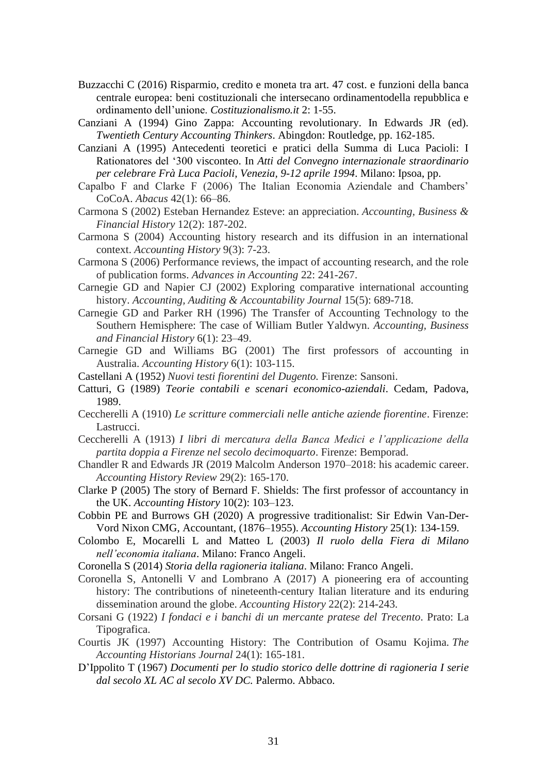- Buzzacchi C (2016) Risparmio, credito e moneta tra art. 47 cost. e funzioni della banca centrale europea: beni costituzionali che intersecano ordinamentodella repubblica e ordinamento dell'unione. *Costituzionalismo.it* 2: 1-55.
- Canziani A (1994) Gino Zappa: Accounting revolutionary. In Edwards JR (ed). *Twentieth Century Accounting Thinkers*. Abingdon: Routledge, pp. 162-185.
- Canziani A (1995) Antecedenti teoretici e pratici della Summa di Luca Pacioli: I Rationatores del '300 visconteo. In *Atti del Convegno internazionale straordinario per celebrare Frà Luca Pacioli, Venezia, 9-12 aprile 1994*. Milano: Ipsoa, pp.
- Capalbo F and Clarke F (2006) The Italian Economia Aziendale and Chambers' CoCoA. *Abacus* 42(1): 66–86.
- Carmona S (2002) Esteban Hernandez Esteve: an appreciation. *Accounting, Business & Financial History* 12(2): 187-202.
- Carmona S (2004) Accounting history research and its diffusion in an international context. *Accounting History* 9(3): 7-23.
- Carmona S (2006) Performance reviews, the impact of accounting research, and the role of publication forms. *Advances in Accounting* 22: 241-267.
- Carnegie GD and Napier CJ (2002) Exploring comparative international accounting history. *Accounting, Auditing & Accountability Journal* 15(5): 689-718.
- Carnegie GD and Parker RH (1996) The Transfer of Accounting Technology to the Southern Hemisphere: The case of William Butler Yaldwyn. *Accounting, Business and Financial History* 6(1): 23–49.
- Carnegie GD and Williams BG (2001) The first professors of accounting in Australia. *Accounting History* 6(1): 103-115.
- Castellani A (1952) *Nuovi testi fiorentini del Dugento.* Firenze: Sansoni.
- Catturi, G (1989) *Teorie contabili e scenari economico-aziendali*. Cedam, Padova, 1989.
- Ceccherelli A (1910) *Le scritture commerciali nelle antiche aziende fiorentine*. Firenze: Lastrucci.
- Ceccherelli A (1913) *I libri di mercatura della Banca Medici e l'applicazione della partita doppia a Firenze nel secolo decimoquarto*. Firenze: Bemporad.
- Chandler R and Edwards JR (2019 Malcolm Anderson 1970–2018: his academic career. *Accounting History Review* 29(2): 165-170.
- Clarke P (2005) The story of Bernard F. Shields: The first professor of accountancy in the UK. *Accounting History* 10(2): 103–123.
- Cobbin PE and Burrows GH (2020) A progressive traditionalist: Sir Edwin Van-Der-Vord Nixon CMG, Accountant, (1876–1955). *Accounting History* 25(1): 134-159.
- Colombo E, Mocarelli L and Matteo L (2003) *Il ruolo della Fiera di Milano nell'economia italiana*. Milano: Franco Angeli.
- Coronella S (2014) *Storia della ragioneria italiana*. Milano: Franco Angeli.
- Coronella S, Antonelli V and Lombrano A (2017) A pioneering era of accounting history: The contributions of nineteenth-century Italian literature and its enduring dissemination around the globe. *Accounting History* 22(2): 214-243.
- Corsani G (1922) *I fondaci e i banchi di un mercante pratese del Trecento*. Prato: La Tipografica.
- Courtis JK (1997) Accounting History: The Contribution of Osamu Kojima. *The Accounting Historians Journal* 24(1): 165-181.
- D'Ippolito T (1967) *Documenti per lo studio storico delle dottrine di ragioneria I serie dal secolo XL AC al secolo XV DC.* Palermo. Abbaco.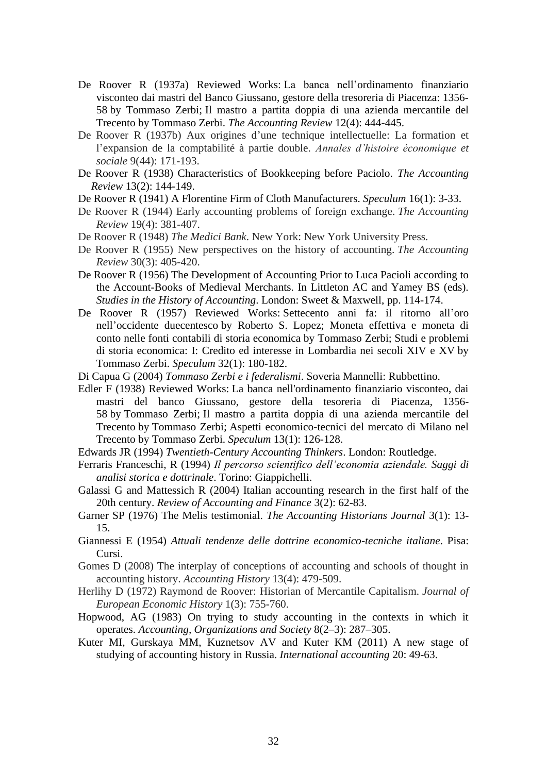- De Roover R (1937a) Reviewed Works: La banca nell'ordinamento finanziario visconteo dai mastri del Banco Giussano, gestore della tresoreria di Piacenza: 1356- 58 by Tommaso Zerbi; Il mastro a partita doppia di una azienda mercantile del Trecento by Tommaso Zerbi. *The Accounting Review* 12(4): 444-445.
- De Roover R (1937b) Aux origines d'une technique intellectuelle: La formation et l'expansion de la comptabilité à partie double. *Annales d'histoire économique et sociale* 9(44): 171-193.
- De Roover R (1938) Characteristics of Bookkeeping before Paciolo. *The Accounting Review* 13(2): 144-149.
- De Roover R (1941) A Florentine Firm of Cloth Manufacturers. *Speculum* 16(1): 3-33.
- De Roover R (1944) Early accounting problems of foreign exchange. *The Accounting Review* 19(4): 381-407.
- De Roover R (1948) *The Medici Bank*. New York: New York University Press.
- De Roover R (1955) New perspectives on the history of accounting. *The Accounting Review* 30(3): 405-420.
- De Roover R (1956) The Development of Accounting Prior to Luca Pacioli according to the Account-Books of Medieval Merchants. In Littleton AC and Yamey BS (eds). *Studies in the History of Accounting*. London: Sweet & Maxwell, pp. 114-174.
- De Roover R (1957) Reviewed Works: Settecento anni fa: il ritorno all'oro nell'occidente duecentesco by Roberto S. Lopez; Moneta effettiva e moneta di conto nelle fonti contabili di storia economica by Tommaso Zerbi; Studi e problemi di storia economica: I: Credito ed interesse in Lombardia nei secoli XIV e XV by Tommaso Zerbi. *Speculum* 32(1): 180-182.
- Di Capua G (2004) *Tommaso Zerbi e i federalismi*. Soveria Mannelli: Rubbettino.
- Edler F (1938) Reviewed Works: La banca nell'ordinamento finanziario visconteo, dai mastri del banco Giussano, gestore della tesoreria di Piacenza, 1356- 58 by Tommaso Zerbi; Il mastro a partita doppia di una azienda mercantile del Trecento by Tommaso Zerbi; Aspetti economico-tecnici del mercato di Milano nel Trecento by Tommaso Zerbi. *Speculum* 13(1): 126-128.
- Edwards JR (1994) *Twentieth-Century Accounting Thinkers*. London: Routledge.
- Ferraris Franceschi, R (1994) *Il percorso scientifico dell'economia aziendale. Saggi di analisi storica e dottrinale*. Torino: Giappichelli.
- Galassi G and Mattessich R (2004) Italian accounting research in the first half of the 20th century. *Review of Accounting and Finance* 3(2): 62-83.
- Garner SP (1976) The Melis testimonial. *The Accounting Historians Journal* 3(1): 13- 15.
- Giannessi E (1954) *Attuali tendenze delle dottrine economico-tecniche italiane*. Pisa: Cursi.
- Gomes D (2008) The interplay of conceptions of accounting and schools of thought in accounting history. *Accounting History* 13(4): 479-509.
- Herlihy D (1972) Raymond de Roover: Historian of Mercantile Capitalism. *Journal of European Economic History* 1(3): 755-760.
- Hopwood, AG (1983) On trying to study accounting in the contexts in which it operates. *Accounting, Organizations and Society* 8(2–3): 287–305.
- Kuter MI, Gurskaya MM, Kuznetsov AV and Kuter KM (2011) A new stage of studying of accounting history in Russia. *International accounting* 20: 49-63.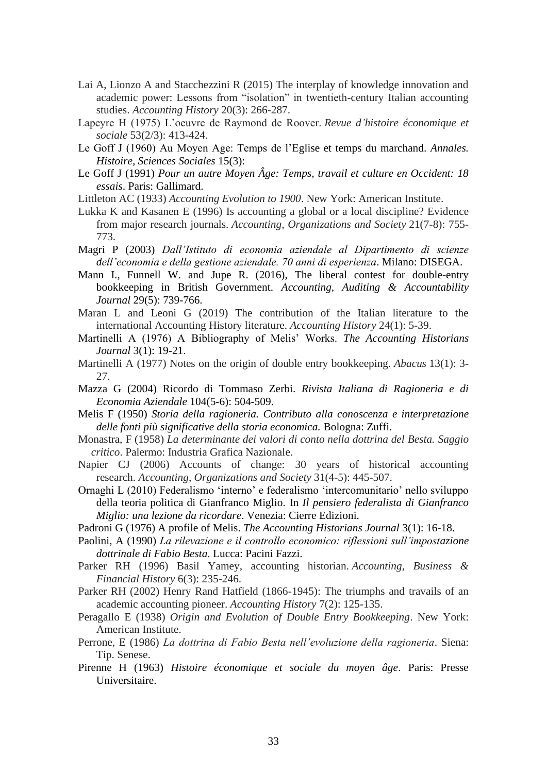- Lai A, Lionzo A and Stacchezzini R (2015) The interplay of knowledge innovation and academic power: Lessons from "isolation" in twentieth-century Italian accounting studies. *Accounting History* 20(3): 266-287.
- Lapeyre H (1975) L'oeuvre de Raymond de Roover. *Revue d'histoire économique et sociale* 53(2/3): 413-424.
- Le Goff J (1960) Au Moyen Age: Temps de l'Eglise et temps du marchand. *Annales. Histoire, Sciences Sociales* 15(3):
- Le Goff J (1991) *Pour un autre Moyen Âge: Temps, travail et culture en Occident: 18 essais*. Paris: Gallimard.
- Littleton AC (1933) *Accounting Evolution to 1900*. New York: American Institute.
- Lukka K and Kasanen E (1996) Is accounting a global or a local discipline? Evidence from major research journals. *Accounting, Organizations and Society* 21(7-8): 755- 773.
- Magri P (2003) *Dall'Istituto di economia aziendale al Dipartimento di scienze dell'economia e della gestione aziendale. 70 anni di esperienza*. Milano: DISEGA.
- Mann I., Funnell W. and Jupe R. (2016), The liberal contest for double-entry bookkeeping in British Government. *Accounting, Auditing & Accountability Journal* 29(5): 739-766.
- Maran L and Leoni G (2019) The contribution of the Italian literature to the international Accounting History literature. *Accounting History* 24(1): 5-39.
- Martinelli A (1976) A Bibliography of Melis' Works. *The Accounting Historians Journal* 3(1): 19-21.
- Martinelli A (1977) Notes on the origin of double entry bookkeeping. *Abacus* 13(1): 3- 27.
- Mazza G (2004) Ricordo di Tommaso Zerbi. *Rivista Italiana di Ragioneria e di Economia Aziendale* 104(5-6): 504-509.
- Melis F (1950) *Storia della ragioneria. Contributo alla conoscenza e interpretazione delle fonti più significative della storia economica.* Bologna: Zuffi.
- Monastra, F (1958) *La determinante dei valori di conto nella dottrina del Besta. Saggio critico*. Palermo: Industria Grafica Nazionale.
- Napier CJ (2006) Accounts of change: 30 years of historical accounting research. *Accounting, Organizations and Society* 31(4-5): 445-507.
- Ornaghi L (2010) Federalismo 'interno' e federalismo 'intercomunitario' nello sviluppo della teoria politica di Gianfranco Miglio. In *Il pensiero federalista di Gianfranco Miglio: una lezione da ricordare*. Venezia: Cierre Edizioni.
- Padroni G (1976) A profile of Melis. *The Accounting Historians Journal* 3(1): 16-18.
- Paolini, A (1990) *La rilevazione e il controllo economico: riflessioni sull'impostazione dottrinale di Fabio Besta*. Lucca: Pacini Fazzi.
- Parker RH (1996) Basil Yamey, accounting historian. *Accounting, Business & Financial History* 6(3): 235-246.
- Parker RH (2002) Henry Rand Hatfield (1866-1945): The triumphs and travails of an academic accounting pioneer. *Accounting History* 7(2): 125-135.
- Peragallo E (1938) *Origin and Evolution of Double Entry Bookkeeping*. New York: American Institute.
- Perrone, E (1986) *La dottrina di Fabio Besta nell'evoluzione della ragioneria*. Siena: Tip. Senese.
- Pirenne H (1963) *Histoire économique et sociale du moyen âge*. Paris: Presse Universitaire.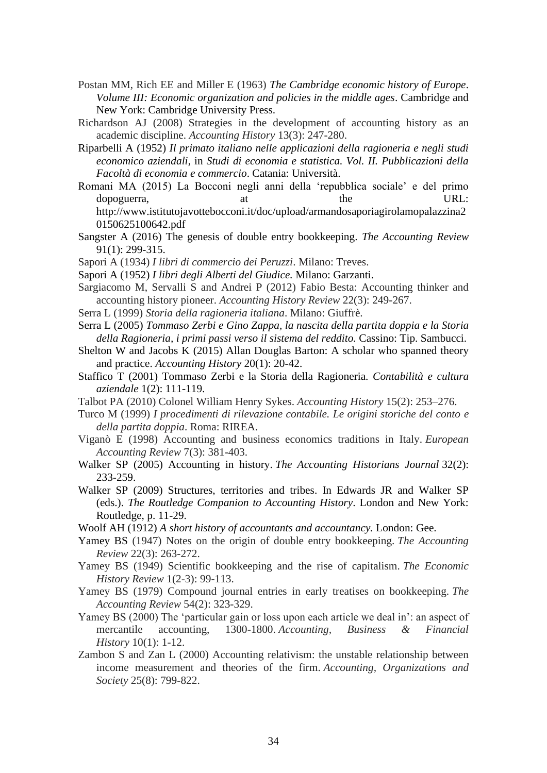- Postan MM, Rich EE and Miller E (1963) *The Cambridge economic history of Europe*. *Volume III: Economic organization and policies in the middle ages*. Cambridge and New York: Cambridge University Press.
- Richardson AJ (2008) Strategies in the development of accounting history as an academic discipline. *Accounting History* 13(3): 247-280.
- Riparbelli A (1952) *Il primato italiano nelle applicazioni della ragioneria e negli studi economico aziendali*, in *Studi di economia e statistica. Vol. II. Pubblicazioni della Facoltà di economia e commercio*. Catania: Università.
- Romani MA (2015) La Bocconi negli anni della 'repubblica sociale' e del primo dopoguerra, at the URL: http://www.istitutojavottebocconi.it/doc/upload/armandosaporiagirolamopalazzina2 0150625100642.pdf
- Sangster A (2016) The genesis of double entry bookkeeping. *The Accounting Review* 91(1): 299-315.
- Sapori A (1934) *I libri di commercio dei Peruzzi*. Milano: Treves.
- Sapori A (1952) *I libri degli Alberti del Giudice.* Milano: Garzanti.
- Sargiacomo M, Servalli S and Andrei P (2012) Fabio Besta: Accounting thinker and accounting history pioneer. *Accounting History Review* 22(3): 249-267.
- Serra L (1999) *Storia della ragioneria italiana*. Milano: Giuffrè.
- Serra L (2005) *Tommaso Zerbi e Gino Zappa, la nascita della partita doppia e la Storia della Ragioneria, i primi passi verso il sistema del reddito.* Cassino: Tip. Sambucci.
- Shelton W and Jacobs K (2015) Allan Douglas Barton: A scholar who spanned theory and practice. *Accounting History* 20(1): 20-42.
- Staffico T (2001) Tommaso Zerbi e la Storia della Ragioneria. *Contabilità e cultura aziendale* 1(2): 111-119.
- Talbot PA (2010) Colonel William Henry Sykes. *Accounting History* 15(2): 253–276.
- Turco M (1999) *I procedimenti di rilevazione contabile. Le origini storiche del conto e della partita doppia*. Roma: RIREA.
- Viganò E (1998) Accounting and business economics traditions in Italy. *European Accounting Review* 7(3): 381-403.
- Walker SP (2005) Accounting in history. *The Accounting Historians Journal* 32(2): 233-259.
- Walker SP (2009) Structures, territories and tribes. In Edwards JR and Walker SP (eds.). *The Routledge Companion to Accounting History*. London and New York: Routledge, p. 11-29.
- Woolf AH (1912) *A short history of accountants and accountancy.* London: Gee.
- Yamey BS (1947) Notes on the origin of double entry bookkeeping. *The Accounting Review* 22(3): 263-272.
- Yamey BS (1949) Scientific bookkeeping and the rise of capitalism. *The Economic History Review* 1(2‐3): 99-113.
- Yamey BS (1979) Compound journal entries in early treatises on bookkeeping. *The Accounting Review* 54(2): 323-329.
- Yamey BS (2000) The 'particular gain or loss upon each article we deal in': an aspect of mercantile accounting, 1300-1800. *Accounting, Business & Financial History* 10(1): 1-12.
- Zambon S and Zan L (2000) Accounting relativism: the unstable relationship between income measurement and theories of the firm. *Accounting, Organizations and Society* 25(8): 799-822.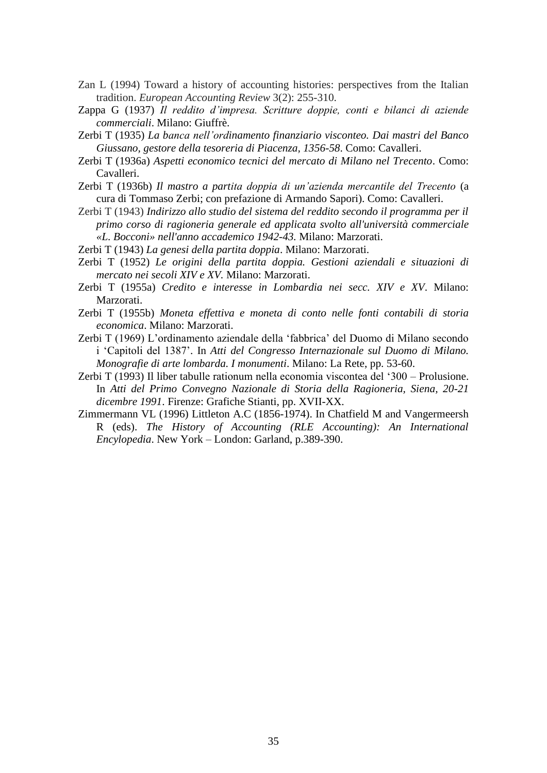- Zan L (1994) Toward a history of accounting histories: perspectives from the Italian tradition. *European Accounting Review* 3(2): 255-310.
- Zappa G (1937) *Il reddito d'impresa. Scritture doppie, conti e bilanci di aziende commerciali*. Milano: Giuffrè.
- Zerbi T (1935) *La banca nell'ordinamento finanziario visconteo. Dai mastri del Banco Giussano, gestore della tesoreria di Piacenza, 1356-58*. Como: Cavalleri.
- Zerbi T (1936a) *Aspetti economico tecnici del mercato di Milano nel Trecento*. Como: Cavalleri.
- Zerbi T (1936b) *Il mastro a partita doppia di un'azienda mercantile del Trecento* (a cura di Tommaso Zerbi; con prefazione di Armando Sapori). Como: Cavalleri.
- Zerbi T (1943) *Indirizzo allo studio del sistema del reddito secondo il programma per il primo corso di ragioneria generale ed applicata svolto all'università commerciale «L. Bocconi» nell'anno accademico 1942-43.* Milano: Marzorati.
- Zerbi T (1943) *La genesi della partita doppia*. Milano: Marzorati.
- Zerbi T (1952) *Le origini della partita doppia. Gestioni aziendali e situazioni di mercato nei secoli XIV e XV.* Milano: Marzorati.
- Zerbi T (1955a) *Credito e interesse in Lombardia nei secc. XIV e XV*. Milano: Marzorati.
- Zerbi T (1955b) *Moneta effettiva e moneta di conto nelle fonti contabili di storia economica*. Milano: Marzorati.
- Zerbi T (1969) L'ordinamento aziendale della 'fabbrica' del Duomo di Milano secondo i 'Capitoli del 1387'. In *Atti del Congresso Internazionale sul Duomo di Milano. Monografie di arte lombarda. I monumenti*. Milano: La Rete, pp. 53-60.
- Zerbi T (1993) Il liber tabulle rationum nella economia viscontea del '300 Prolusione. In *Atti del Primo Convegno Nazionale di Storia della Ragioneria, Siena, 20-21 dicembre 1991*. Firenze: Grafiche Stianti, pp. XVII-XX.
- Zimmermann VL (1996) Littleton A.C (1856-1974). In Chatfield M and Vangermeersh R (eds). *The History of Accounting (RLE Accounting): An International Encylopedia*. New York – London: Garland, p.389-390.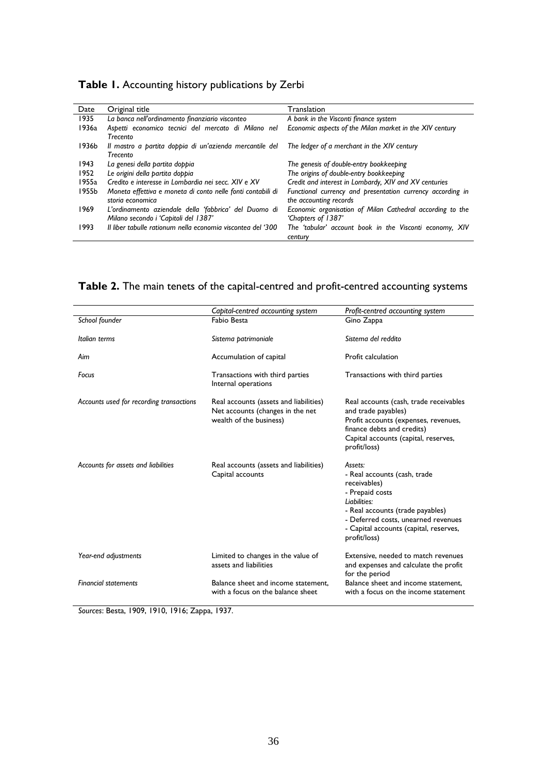|  | Table 1. Accounting history publications by Zerbi |  |  |  |
|--|---------------------------------------------------|--|--|--|
|--|---------------------------------------------------|--|--|--|

| Date  | Original title                                              | Translation                                                |
|-------|-------------------------------------------------------------|------------------------------------------------------------|
| 1935  | La banca nell'ordinamento finanziario visconteo             | A bank in the Visconti finance system                      |
| 1936a | Aspetti economico tecnici del mercato di Milano nel         | Economic aspects of the Milan market in the XIV century    |
|       | <b>Trecento</b>                                             |                                                            |
| 1936b | Il mastro a partita doppia di un'azienda mercantile del     | The ledger of a merchant in the XIV century                |
|       | <b>Trecento</b>                                             |                                                            |
| 1943  | La genesi della partita doppia                              | The genesis of double-entry bookkeeping                    |
| 1952  | Le origini della partita doppia                             | The origins of double-entry bookkeeping                    |
| 1955a | Credito e interesse in Lombardia nei secc. XIV e XV         | Credit and interest in Lombardy, XIV and XV centuries      |
| 1955b | Moneta effettiva e moneta di conto nelle fonti contabili di | Functional currency and presentation currency according in |
|       | storia economica                                            | the accounting records                                     |
| 1969  | L'ordinamento aziendale della 'fabbrica' del Duomo di       | Economic organisation of Milan Cathedral according to the  |
|       | Milano secondo i 'Capitoli del 1387'                        | 'Chapters of 1387'                                         |
| 1993  | Il liber tabulle rationum nella economia viscontea del '300 | The 'tabular' account book in the Visconti economy, XIV    |
|       |                                                             | century                                                    |

### **Table 2.** The main tenets of the capital-centred and profit-centred accounting systems

|                                          | Capital-centred accounting system                                                                     | Profit-centred accounting system                                                                                                                                                                                                 |
|------------------------------------------|-------------------------------------------------------------------------------------------------------|----------------------------------------------------------------------------------------------------------------------------------------------------------------------------------------------------------------------------------|
| School founder                           | Fabio Besta                                                                                           | Gino Zappa                                                                                                                                                                                                                       |
| Italian terms                            | Sistema patrimoniale                                                                                  | Sistema del reddito                                                                                                                                                                                                              |
| Aim                                      | Accumulation of capital                                                                               | Profit calculation                                                                                                                                                                                                               |
| Focus                                    | Transactions with third parties<br>Internal operations                                                | Transactions with third parties                                                                                                                                                                                                  |
| Accounts used for recording transactions | Real accounts (assets and liabilities)<br>Net accounts (changes in the net<br>wealth of the business) | Real accounts (cash, trade receivables<br>and trade payables)<br>Profit accounts (expenses, revenues,<br>finance debts and credits)<br>Capital accounts (capital, reserves,<br>profit/loss)                                      |
| Accounts for assets and liabilities      | Real accounts (assets and liabilities)<br>Capital accounts                                            | Assets:<br>- Real accounts (cash, trade<br>receivables)<br>- Prepaid costs<br>l inbilities:<br>- Real accounts (trade payables)<br>- Deferred costs, unearned revenues<br>- Capital accounts (capital, reserves,<br>profit/loss) |
| Year-end adjustments                     | Limited to changes in the value of<br>assets and liabilities                                          | Extensive, needed to match revenues<br>and expenses and calculate the profit<br>for the period                                                                                                                                   |
| <b>Financial statements</b>              | Balance sheet and income statement.<br>with a focus on the balance sheet.                             | Balance sheet and income statement.<br>with a focus on the income statement                                                                                                                                                      |

*Sources*: Besta, 1909, 1910, 1916; Zappa, 1937.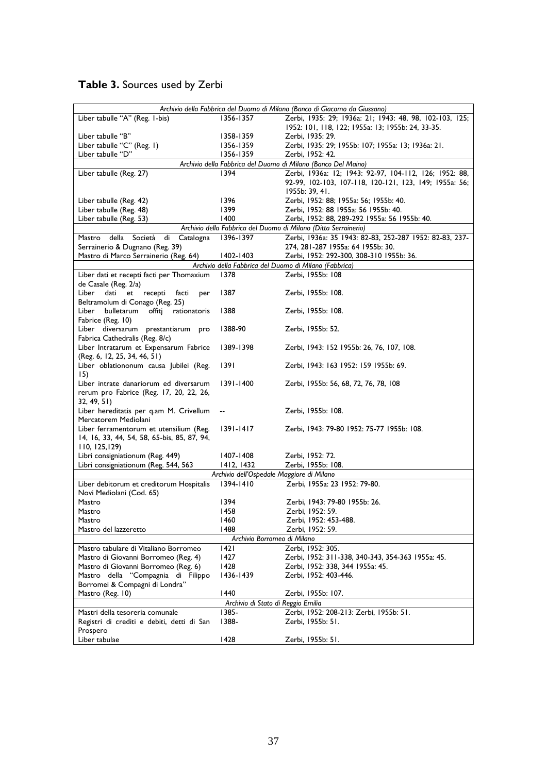| Table 3. Sources used by Zerbi |  |  |  |  |  |  |  |
|--------------------------------|--|--|--|--|--|--|--|
|--------------------------------|--|--|--|--|--|--|--|

| Archivio della Fabbrica del Duomo di Milano (Banco di Giacomo da Giussano) |                                           |                                                                 |  |  |  |  |
|----------------------------------------------------------------------------|-------------------------------------------|-----------------------------------------------------------------|--|--|--|--|
| Liber tabulle "A" (Reg. 1-bis)                                             | 1356-1357                                 | Zerbi, 1935: 29; 1936a: 21; 1943: 48, 98, 102-103, 125;         |  |  |  |  |
|                                                                            |                                           | 1952: 101, 118, 122; 1955a: 13; 1955b: 24, 33-35.               |  |  |  |  |
| Liber tabulle "B"                                                          | 1358-1359                                 | Zerbi, 1935: 29.                                                |  |  |  |  |
| Liber tabulle "C" (Reg. 1)                                                 | 1356-1359                                 | Zerbi, 1935: 29; 1955b: 107; 1955a: 13; 1936a: 21.              |  |  |  |  |
| Liber tabulle "D"                                                          | 1356-1359                                 | Zerbi, 1952: 42.                                                |  |  |  |  |
|                                                                            |                                           |                                                                 |  |  |  |  |
|                                                                            |                                           | Archivio della Fabbrica del Duomo di Milano (Banco Del Maino)   |  |  |  |  |
| Liber tabulle (Reg. 27)                                                    | 1394                                      | Zerbi, 1936a: 12; 1943: 92-97, 104-112, 126; 1952: 88,          |  |  |  |  |
|                                                                            |                                           | 92-99, 102-103, 107-118, 120-121, 123, 149; 1955a: 56;          |  |  |  |  |
|                                                                            |                                           | 1955b: 39, 41.                                                  |  |  |  |  |
| Liber tabulle (Reg. 42)                                                    | 1396                                      | Zerbi, 1952: 88; 1955a: 56; 1955b: 40.                          |  |  |  |  |
| Liber tabulle (Reg. 48)                                                    | 1399                                      | Zerbi, 1952: 88 1955a: 56 1955b: 40.                            |  |  |  |  |
| Liber tabulle (Reg. 53)                                                    | 1400                                      | Zerbi, 1952: 88, 289-292 1955a: 56 1955b: 40.                   |  |  |  |  |
|                                                                            |                                           | Archivio della Fabbrica del Duomo di Milano (Ditta Serrainerio) |  |  |  |  |
| della<br>di<br>Catalogna<br>Mastro<br>Società                              | 1396-1397                                 | Zerbi, 1936a: 35 1943: 82-83, 252-287 1952: 82-83, 237-         |  |  |  |  |
| Serrainerio & Dugnano (Reg. 39)                                            |                                           | 274, 281-287 1955a: 64 1955b: 30.                               |  |  |  |  |
| Mastro di Marco Serrainerio (Reg. 64)                                      | 1402-1403                                 | Zerbi, 1952: 292-300, 308-310 1955b: 36.                        |  |  |  |  |
|                                                                            |                                           | Archivio della Fabbrica del Duomo di Milano (Fabbrica)          |  |  |  |  |
| Liber dati et recepti facti per Thomaxium                                  | 1378                                      | Zerbi, 1955b: 108                                               |  |  |  |  |
| de Casale (Reg. 2/a)                                                       |                                           |                                                                 |  |  |  |  |
| Liber<br>dati<br>recepti<br>facti<br>et<br>per                             | 1387                                      | Zerbi, 1955b: 108.                                              |  |  |  |  |
| Beltramolum di Conago (Reg. 25)                                            |                                           |                                                                 |  |  |  |  |
| bulletarum<br>rationatoris<br>Liber                                        | 1388                                      |                                                                 |  |  |  |  |
| offiti                                                                     |                                           | Zerbi, 1955b: 108.                                              |  |  |  |  |
| Fabrice (Reg. 10)                                                          |                                           |                                                                 |  |  |  |  |
| Liber diversarum prestantiarum pro                                         | 1388-90                                   | Zerbi, 1955b: 52.                                               |  |  |  |  |
| Fabrica Cathedralis (Reg. 8/c)                                             |                                           |                                                                 |  |  |  |  |
| Liber Intratarum et Expensarum Fabrice                                     | 1389-1398                                 | Zerbi, 1943: 152 1955b: 26, 76, 107, 108.                       |  |  |  |  |
| (Reg. 6, 12, 25, 34, 46, 51)                                               |                                           |                                                                 |  |  |  |  |
| Liber oblationonum causa Jubilei (Reg.                                     | 1391                                      | Zerbi, 1943: 163 1952: 159 1955b: 69.                           |  |  |  |  |
| 15)                                                                        |                                           |                                                                 |  |  |  |  |
| Liber intrate danariorum ed diversarum                                     | 1391-1400                                 | Zerbi, 1955b: 56, 68, 72, 76, 78, 108                           |  |  |  |  |
| rerum pro Fabrice (Reg. 17, 20, 22, 26,                                    |                                           |                                                                 |  |  |  |  |
| 32, 49, 51)                                                                |                                           |                                                                 |  |  |  |  |
| Liber hereditatis per q.am M. Crivellum                                    |                                           | Zerbi, 1955b: 108.                                              |  |  |  |  |
| Mercatorem Mediolani                                                       |                                           |                                                                 |  |  |  |  |
| Liber ferramentorum et utensilium (Reg.                                    | 1391-1417                                 | Zerbi, 1943: 79-80 1952: 75-77 1955b: 108.                      |  |  |  |  |
| 14, 16, 33, 44, 54, 58, 65-bis, 85, 87, 94,                                |                                           |                                                                 |  |  |  |  |
| 110, 125, 129                                                              |                                           |                                                                 |  |  |  |  |
| Libri consigniationum (Reg. 449)                                           | 1407-1408                                 | Zerbi, 1952: 72.                                                |  |  |  |  |
| Libri consigniationum (Reg. 544, 563                                       | 1412, 1432                                | Zerbi, 1955b: 108.                                              |  |  |  |  |
|                                                                            | Archivio dell'Ospedale Maggiore di Milano |                                                                 |  |  |  |  |
| Liber debitorum et creditorum Hospitalis                                   | 1394-1410                                 | Zerbi, 1955a: 23 1952: 79-80.                                   |  |  |  |  |
| Novi Mediolani (Cod. 65)                                                   |                                           |                                                                 |  |  |  |  |
|                                                                            |                                           |                                                                 |  |  |  |  |
| Mastro                                                                     | 1394<br>1458                              | Zerbi, 1943: 79-80 1955b: 26.<br>Zerbi, 1952: 59.               |  |  |  |  |
| Mastro                                                                     |                                           |                                                                 |  |  |  |  |
| Mastro                                                                     | 1460                                      | Zerbi, 1952: 453-488.                                           |  |  |  |  |
| Mastro del lazzeretto                                                      | 1488                                      | Zerbi, 1952: 59.                                                |  |  |  |  |
| Archivio Borromeo di Milano                                                |                                           |                                                                 |  |  |  |  |
| Mastro tabulare di Vitaliano Borromeo                                      | 1421                                      | Zerbi, 1952: 305.                                               |  |  |  |  |
| Mastro di Giovanni Borromeo (Reg. 4)                                       | 1427                                      | Zerbi, 1952: 311-338, 340-343, 354-363 1955a: 45.               |  |  |  |  |
| Mastro di Giovanni Borromeo (Reg. 6)                                       | 1428                                      | Zerbi, 1952: 338, 344 1955a: 45.                                |  |  |  |  |
| Mastro della "Compagnia di Filippo                                         | 1436-1439                                 | Zerbi, 1952: 403-446.                                           |  |  |  |  |
| Borromei & Compagni di Londra"                                             |                                           |                                                                 |  |  |  |  |
| Mastro (Reg. 10)                                                           | 1440                                      | Zerbi, 1955b: 107.                                              |  |  |  |  |
|                                                                            | Archivio di Stato di Reggio Emilia        |                                                                 |  |  |  |  |
| Mastri della tesoreria comunale                                            | 1385-                                     | Zerbi, 1952: 208-213: Zerbi, 1955b: 51.                         |  |  |  |  |
| Registri di crediti e debiti, detti di San                                 | 1388-                                     | Zerbi, 1955b: 51.                                               |  |  |  |  |
| Prospero                                                                   |                                           |                                                                 |  |  |  |  |
| Liber tabulae                                                              | 1428                                      | Zerbi, 1955b: 51.                                               |  |  |  |  |
|                                                                            |                                           |                                                                 |  |  |  |  |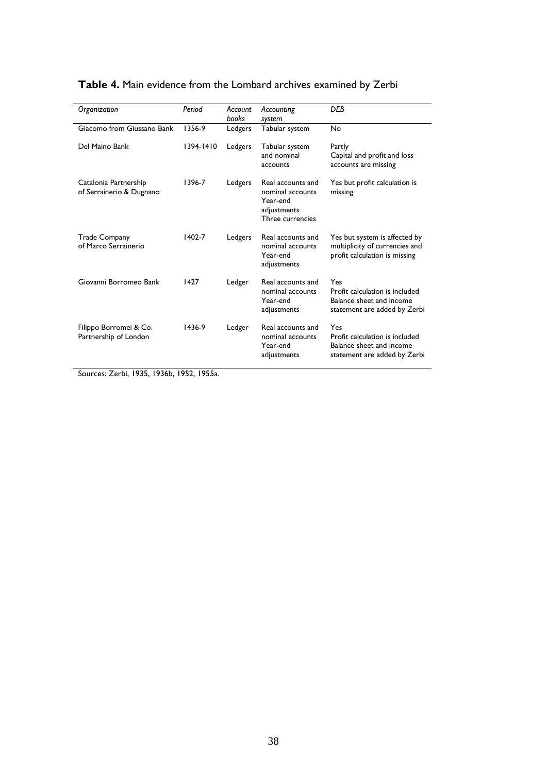| Organization                                      | Period    | Account<br>books | Accounting<br>system                                                                 | <b>DEB</b>                                                                                        |
|---------------------------------------------------|-----------|------------------|--------------------------------------------------------------------------------------|---------------------------------------------------------------------------------------------------|
| Giacomo from Giussano Bank                        | 1356-9    | Ledgers          | Tabular system                                                                       | No                                                                                                |
| Del Maino Bank                                    | 1394-1410 | Ledgers          | Tabular system<br>and nominal<br>accounts                                            | Partly<br>Capital and profit and loss<br>accounts are missing                                     |
| Catalonia Partnership<br>of Serrainerio & Dugnano | 1396-7    | Ledgers          | Real accounts and<br>nominal accounts<br>Year-end<br>adjustments<br>Three currencies | Yes but profit calculation is<br>missing                                                          |
| <b>Trade Company</b><br>of Marco Serrainerio      | 1402-7    | Ledgers          | Real accounts and<br>nominal accounts<br>Year-end<br>adjustments                     | Yes but system is affected by<br>multiplicity of currencies and<br>profit calculation is missing  |
| Giovanni Borromeo Bank                            | 1427      | Ledger           | Real accounts and<br>nominal accounts<br>Year-end<br>adjustments                     | Yes<br>Profit calculation is included<br>Balance sheet and income<br>statement are added by Zerbi |
| Filippo Borromei & Co.<br>Partnership of London   | 1436-9    | Ledger           | Real accounts and<br>nominal accounts<br>Year-end<br>adjustments                     | Yes<br>Profit calculation is included<br>Balance sheet and income<br>statement are added by Zerbi |

#### **Table 4.** Main evidence from the Lombard archives examined by Zerbi

Sources: Zerbi, 1935, 1936b, 1952, 1955a.